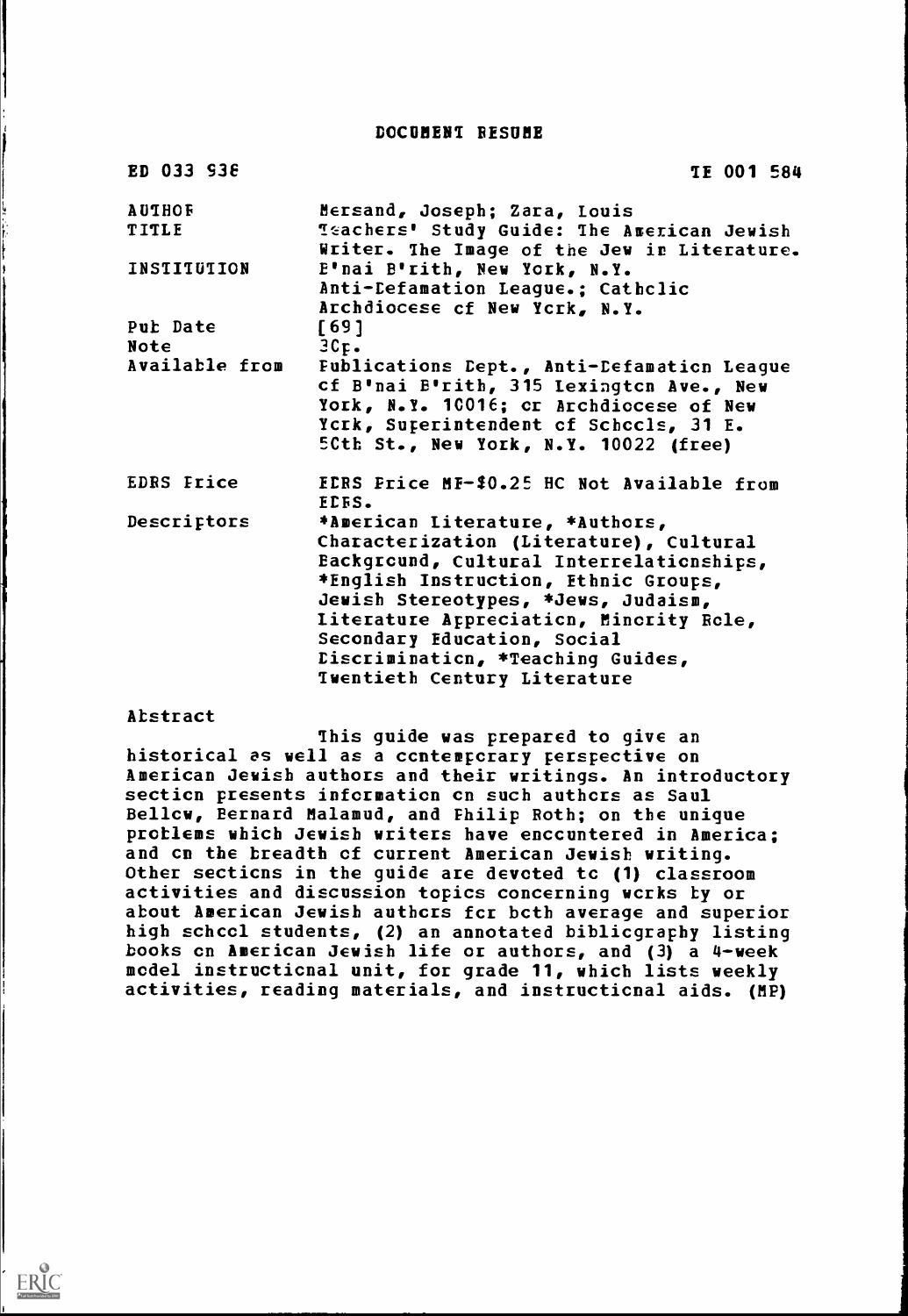DOCUMENT RESUME

| ED 033 938                    | <b>TE 001 584</b>                                                                                                                |
|-------------------------------|----------------------------------------------------------------------------------------------------------------------------------|
| <b>AUTHOF</b><br><b>TITLE</b> | Mersand, Joseph; Zara, Louis<br><b>Teachers' Study Guide: The American Jewish</b><br>Writer. The Image of the Jew in Literature. |
| INSTITUTION                   | E'nai B'rith, New York, N.Y.<br>Anti-Defamation League.; Cathclic<br>Archdiocese of New York, N.Y.                               |
| Pub Date                      | [69]                                                                                                                             |
| Note                          | $3C_{\text{F}}$ .                                                                                                                |
| <b>Available from</b>         | Fublications Cept., Anti-Defamation League<br>cf B'nai B'rith, 315 Lexington Ave., New                                           |
|                               | York, N.Y. 10016; cr Archdiccese of New                                                                                          |
|                               | Ycrk, Superintendent of Schccls, 31 E.                                                                                           |
|                               | 5Cth St., New York, N.Y. 10022 (free)                                                                                            |
| <b>EDRS Frice</b>             | EDRS Price MF-\$0.25 HC Not Available from<br><b>FLES.</b>                                                                       |
| Descriptors                   | *American Literature, *Authors,                                                                                                  |
|                               | Characterization (Literature), Cultural                                                                                          |
|                               | Eackground, Cultural Interrelationships,                                                                                         |
|                               | *English Instruction, Ethnic Groups,                                                                                             |
|                               | Jewish Stereotypes, *Jews, Judaism,                                                                                              |
|                               | <b>Literature Appreciation, Minority Role,</b>                                                                                   |
|                               | Secondary Education, Social                                                                                                      |
|                               | Eiscrimination, *Teaching Guides,                                                                                                |
|                               |                                                                                                                                  |
|                               | <b>Twentieth Century Literature</b>                                                                                              |

### Abstract

ERIC

This guide was prepared to give an historical as well as a contemporary perspective on American Jewish authors and their writings. An introductory secticn presents information on such authors as Saul Bellcw, Bernard Malamud, and Philip Roth; on the unique problems which Jewish writers have encountered in America; and cn the breadth of current American Jewish writing. Other secticns in the guide are devoted tc (1) classroom activities and discussion topics concerning works by or about American Jewish authcrs fcr both average and superior high school students, (2) an annotated bibliography listing books cn American Jewish life or authors, and (3) a 4-week model instructicnal unit, for grade 11, which lists weekly activities, reading materials, and instructicnal aids. (MP)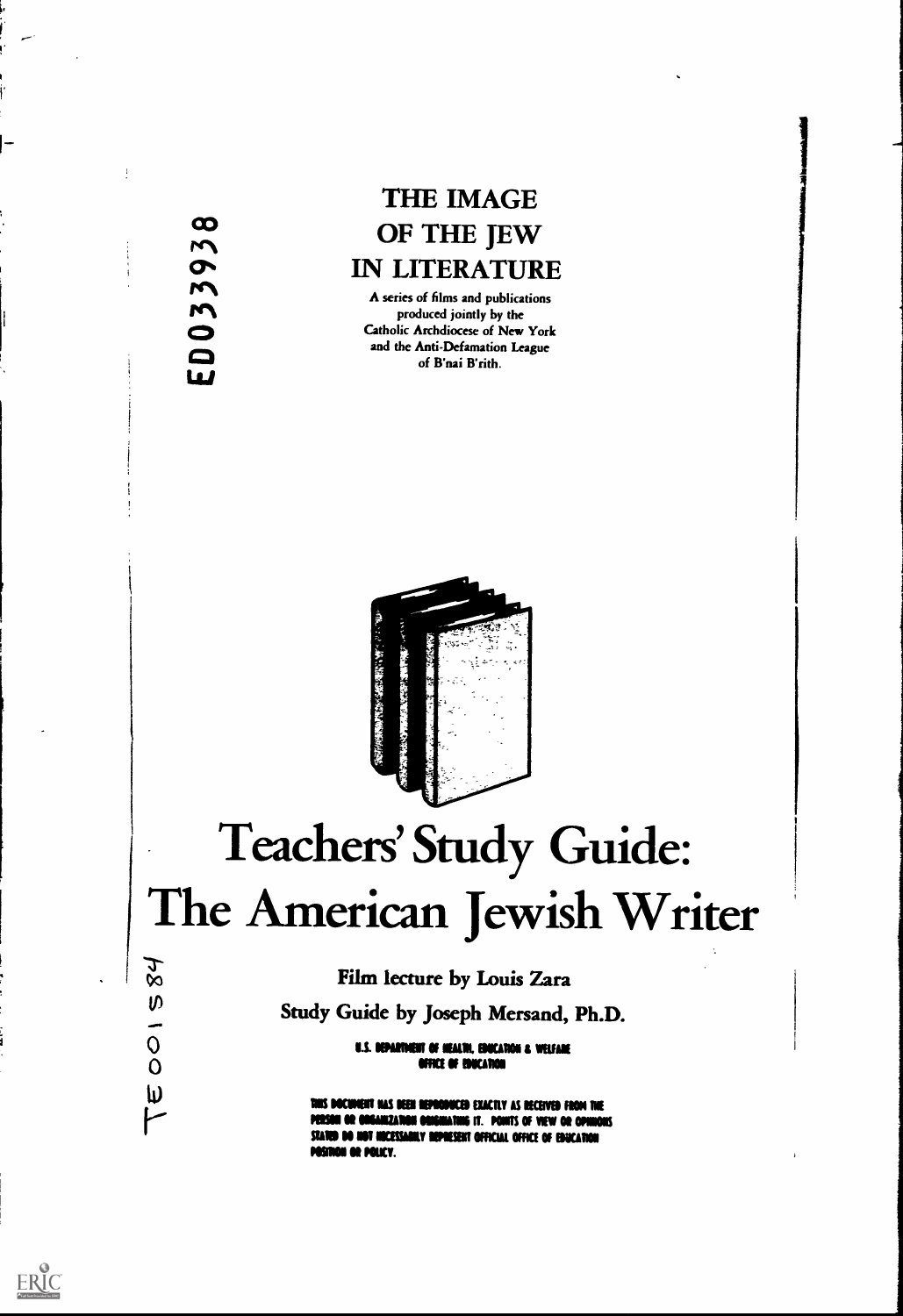co Li/

## THE IMAGE OF THE JEW IN LITERATURE

A series of films and publications<br>
Produced jointly by the<br>
Catholic Archdiocese of New York<br>
and the Anti-Defamation League Catholic Archdiocese of New Yorl<br>and the Anti-Defamation League<br>of B'nai B'rith.



# Teachers' Study Guide: The American Jewish Writer

## Film lecture by Louis Zara

Study Guide by Joseph Mersand, Ph.D.

U.S. DEPARTMENT OF MEALTH, EDUCATION & WELFARE FFICE OF EDUCATION

this document has deen reproduced exactly as received from the MINZATION ORIGINATING IT. PONITS OF VIEW OR OPHNOIS STATED DO NOT HICESSARILY REPRESENT OFFICIAL OFFICE OF EDUCATION POSINON OR POLICY.

 $84$ 

 $\boldsymbol{\vartheta}$ 

 $\overline{O}$  $\overline{O}$ 

 $\pmb{\psi}$ 

r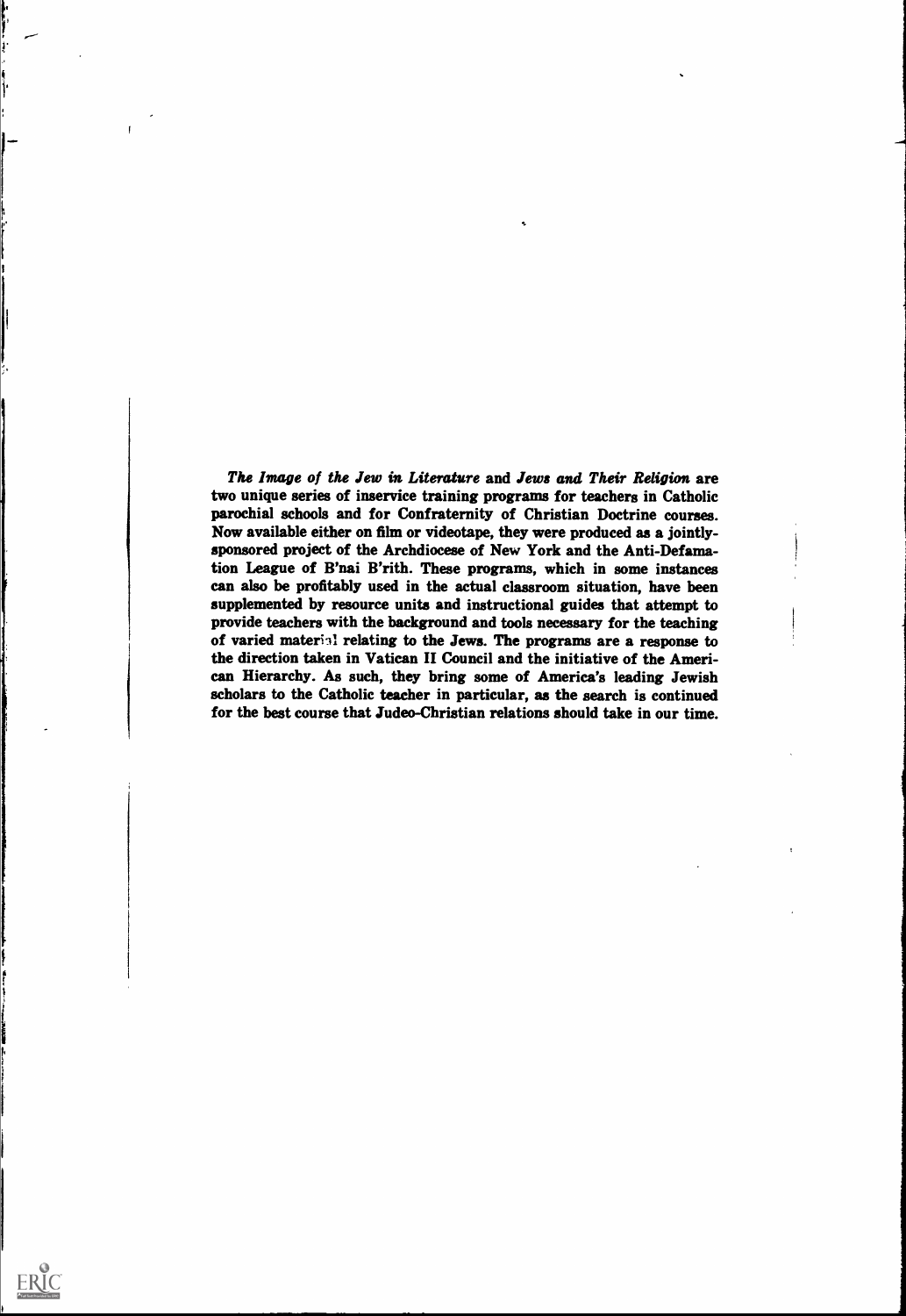The Image of the Jew in Literature and Jews and Their Religion are two unique series of inservice training programs for teachers in Catholic parochial schools and for Confraternity of Christian Doctrine courses. Now available either on film or videotape, they were produced as a jointlysponsored project of the Archdiocese of New York and the Anti-Defamation League of B'nai B'rith. These programs, which in some instances can also be profitably used in the actual classroom situation, have been supplemented by resource units and instructional guides that attempt to provide teachers with the background and tools necessary for the teaching of varied materiil relating to the Jews. The programs are a response to the direction taken in Vatican II Council and the initiative of the American Hierarchy. As such, they bring some of America's leading Jewish scholars to the Catholic teacher in particular, as the search is continued for the best course that Judeo-Christian relations should take in our time.

s

I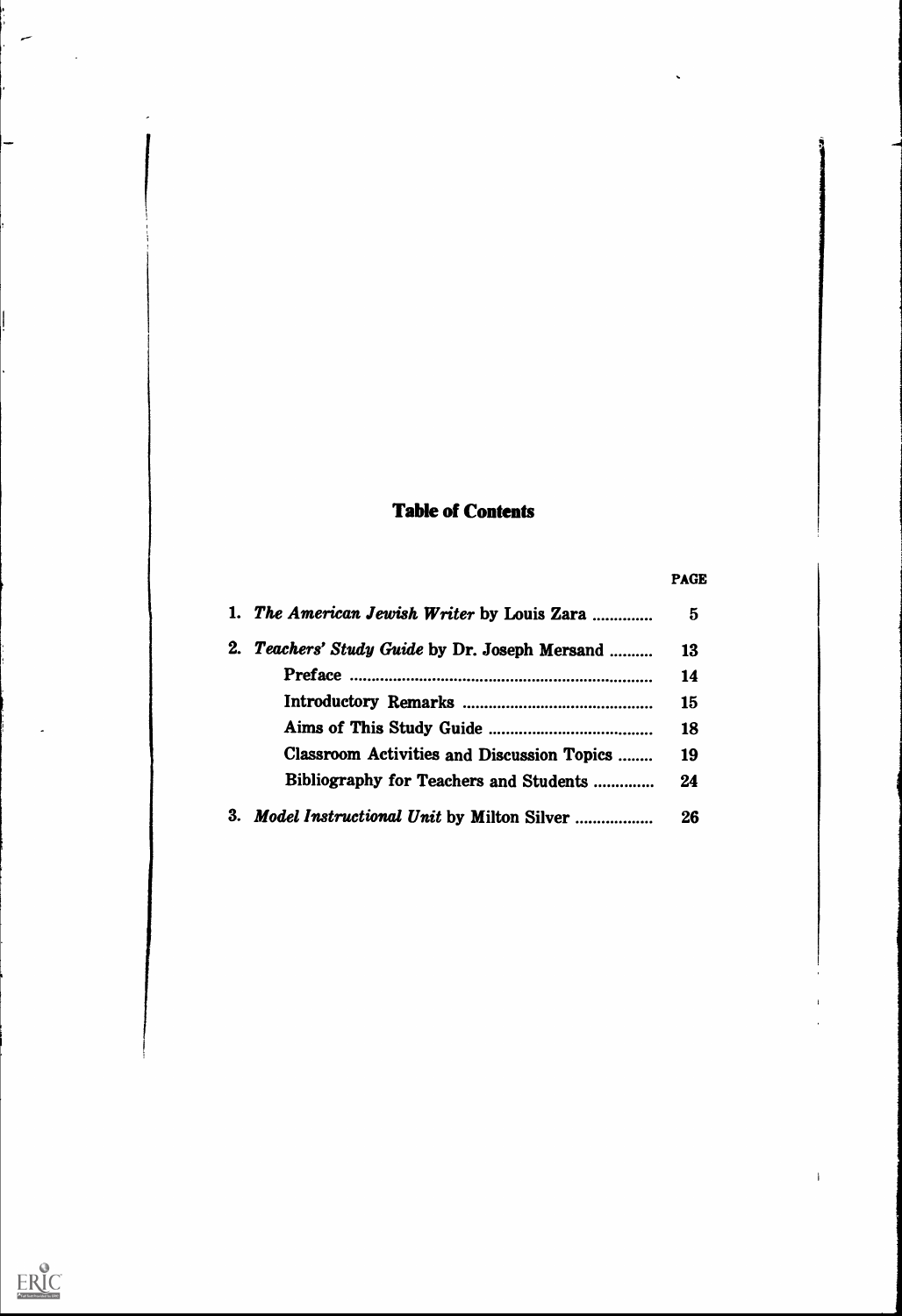## Table of Contents

## PAGE

 $\bar{\mathcal{A}}$ 

|    | 1. The American Jewish Writer by Louis Zara  | 5  |  |
|----|----------------------------------------------|----|--|
| 2. | Teachers' Study Guide by Dr. Joseph Mersand  | 13 |  |
|    |                                              | 14 |  |
|    |                                              | 15 |  |
|    |                                              | 18 |  |
|    | Classroom Activities and Discussion Topics   | 19 |  |
|    | Bibliography for Teachers and Students       | 24 |  |
|    | 3. Model Instructional Unit by Milton Silver | 26 |  |

سر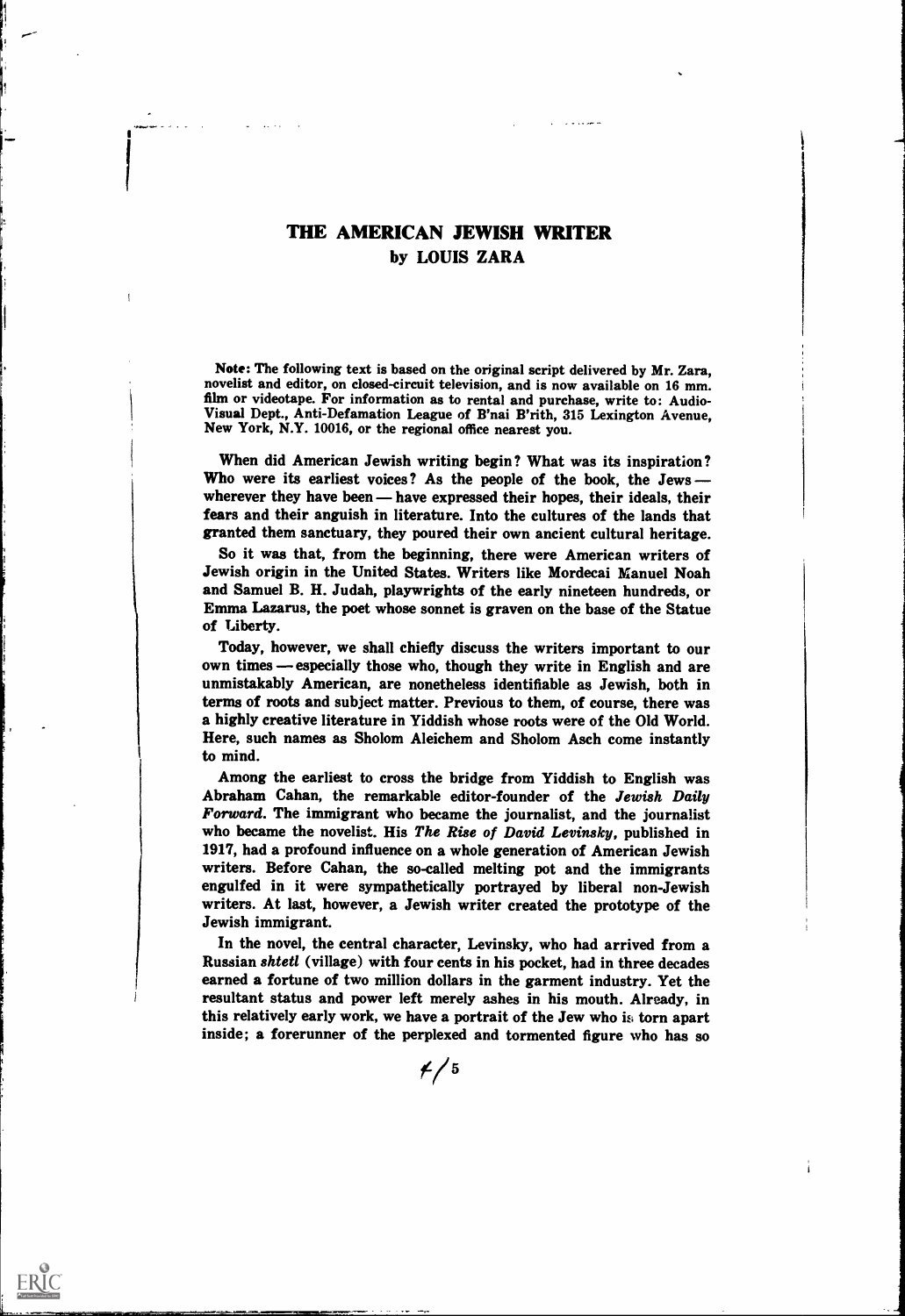## THE AMERICAN JEWISH WRITER by LOUIS ZARA

Note: The following text is based on the original script delivered by Mr. Zara, novelist and editor, on closed-circuit television, and is now available on 16 mm.<br>film or videotape. For information as to rental and purchase, write to: Audio-Visual Dept., Anti-Defamation League of B'nai B'rith, 315 Lexington Avenue, New York, N.Y. 10016, or the regional office nearest you.

When did American Jewish writing begin? What was its inspiration ? Who were its earliest voices? As the people of the book, the Jews wherever they have been - have expressed their hopes, their ideals, their fears and their anguish in literature. Into the cultures of the lands that granted them sanctuary, they poured their own ancient cultural heritage.

So it was that, from the beginning, there were American writers of Jewish origin in the United States. Writers like Mordecai Manuel Noah and Samuel B. H. Judah, playwrights of the early nineteen hundreds, or Emma Lazarus, the poet whose sonnet is graven on the base of the Statue of Liberty.

Today, however, we shall chiefly discuss the writers important to our own times – especially those who, though they write in English and are unmistakably American, are nonetheless identifiable as Jewish, both in terms of roots and subject matter. Previous to them, of course, there was a highly creative literature in Yiddish whose roots were of the Old World. Here, such names as Sholom Aleichem and Sholom Asch come instantly to mind.

Among the earliest to cross the bridge from Yiddish to English was Abraham Cahan, the remarkable editor-founder of the Jewish Daily Forward. The immigrant who became the journalist, and the journalist who became the novelist. His The Rise of David Levinsky, published in 1917, had a profound influence on a whole generation of American Jewish writers. Before Cahan, the so-called melting pot and the immigrants engulfed in it were sympathetically portrayed by liberal non-Jewish writers. At last, however, a Jewish writer created the prototype of the Jewish immigrant.

In the novel, the central character, Levinsky, who had arrived from a Russian shtetl (village) with four cents in his pocket, had in three decades earned a fortune of two million dollars in the garment industry. Yet the resultant status and power left merely ashes in his mouth. Already, in this relatively early work, we have a portrait of the Jew who is torn apart inside; a forerunner of the perplexed and tormented figure who has so

 $f/5$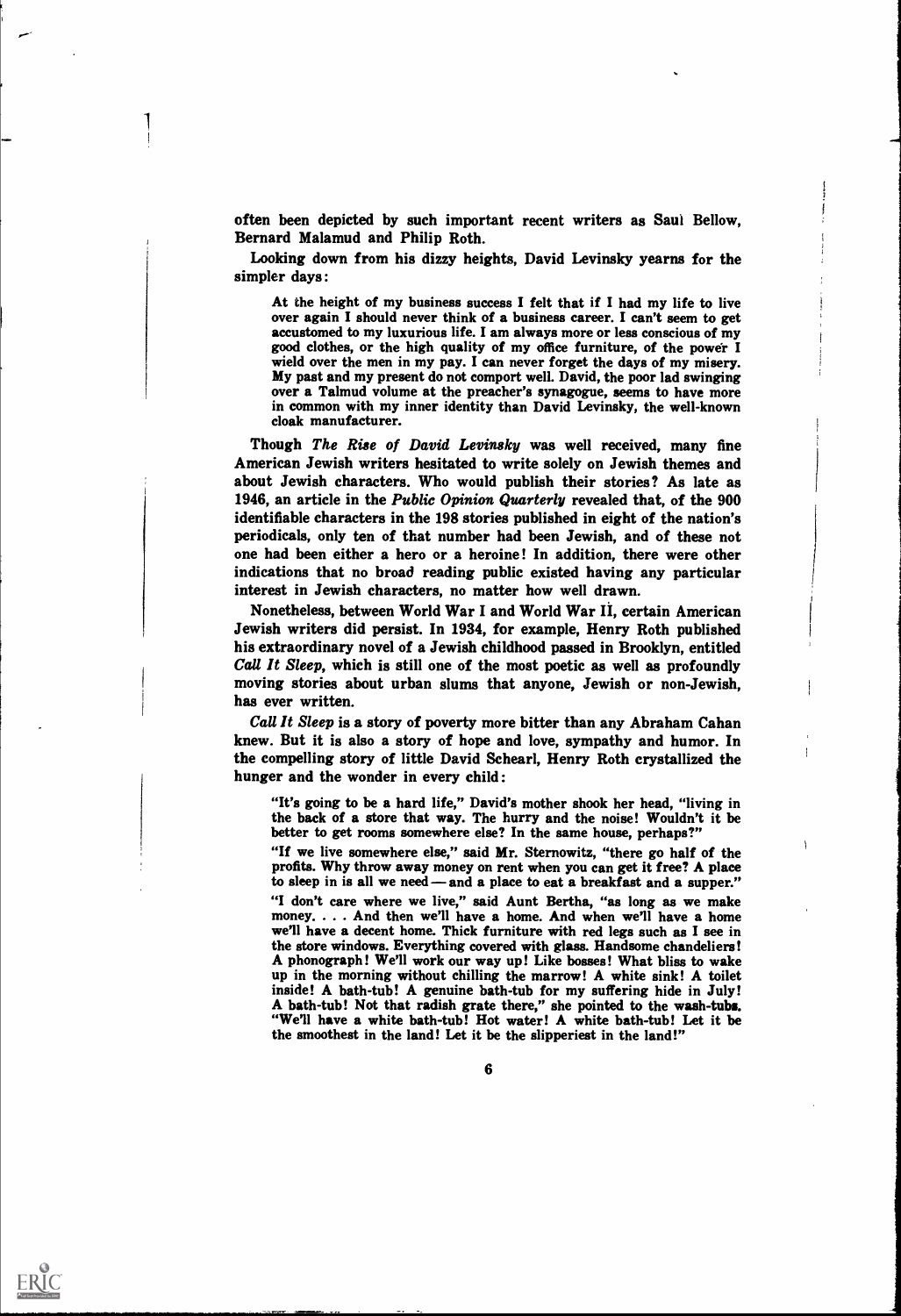often been depicted by such important recent writers as Saul Bellow, Bernard Malamud and Philip Roth.

Looking down from his dizzy heights, David Levinsky yearns for the simpler days :

At the height of my business success I felt that if I had my life to live over again I should never think of a business career. I can't seem to get accustomed to my luxurious life. I am always more or less conscious of my good clothes, or the high quality of my office furniture, of the power I wield over the men in my pay. I can never forget the days of my misery. My past and my present do not comport well. David, the poor lad swinging over a Talmud volume at the preacher's synagogue, seems to have more in common with my inner identity than David Levinsky, the well-known cloak manufacturer.

Though The Rise of David Levinsky was well received, many fine American Jewish writers hesitated to write solely on Jewish themes and about Jewish characters. Who would publish their stories? As late as 1946, an article in the Public Opinion Quarterly revealed that, of the 900 identifiable characters in the 198 stories published in eight of the nation's periodicals, only ten of that number had been Jewish, and of these not one had been either a hero or a heroine! In addition, there were other indications that no broad reading public existed having any particular interest in Jewish characters, no matter how well drawn.

Nonetheless, between World War I and World War II, certain American Jewish writers did persist. In 1934, for example, Henry Roth published his extraordinary novel of a Jewish childhood passed in Brooklyn, entitled Call It Sleep, which is still one of the most poetic as well as profoundly moving stories about urban slums that anyone, Jewish or non-Jewish, has ever written.

Call It Sleep is a story of poverty more bitter than any Abraham Cahan knew. But it is also a story of hope and love, sympathy and humor. In the compelling story of little David Schearl, Henry Roth crystallized the hunger and the wonder in every child :

"It's going to be a hard life," David's mother shook her head, "living in the back of a store that way. The hurry and the noise! Wouldn't it be better to get rooms somewhere else? In the same house, perhaps?"

"If we live somewhere else," said Mr. Sternowitz, "there go half of the profits. Why throw away money on rent when you can get it free? A place to sleep in is all we need — and a place to eat a breakfast and a supper." "I don't care where we live," said Aunt Bertha, "as long as we make money. . . . And then we'll have a home. And when we'll have a home we'll have a decent home. Thick furniture with red legs such as I see in the store windows. Everything covered with glass. Handsome chandeliers! A phonograph! We'll work our way up! Like bosses! What bliss to wake<br>up in the morning without chilling the marrow! A white sink! A toilet<br>inside! A bath-tub! A genuine bath-tub for my suffering hide in July!<br>A bath-tub! N the smoothest in the land! Let it be the slipperiest in the land!"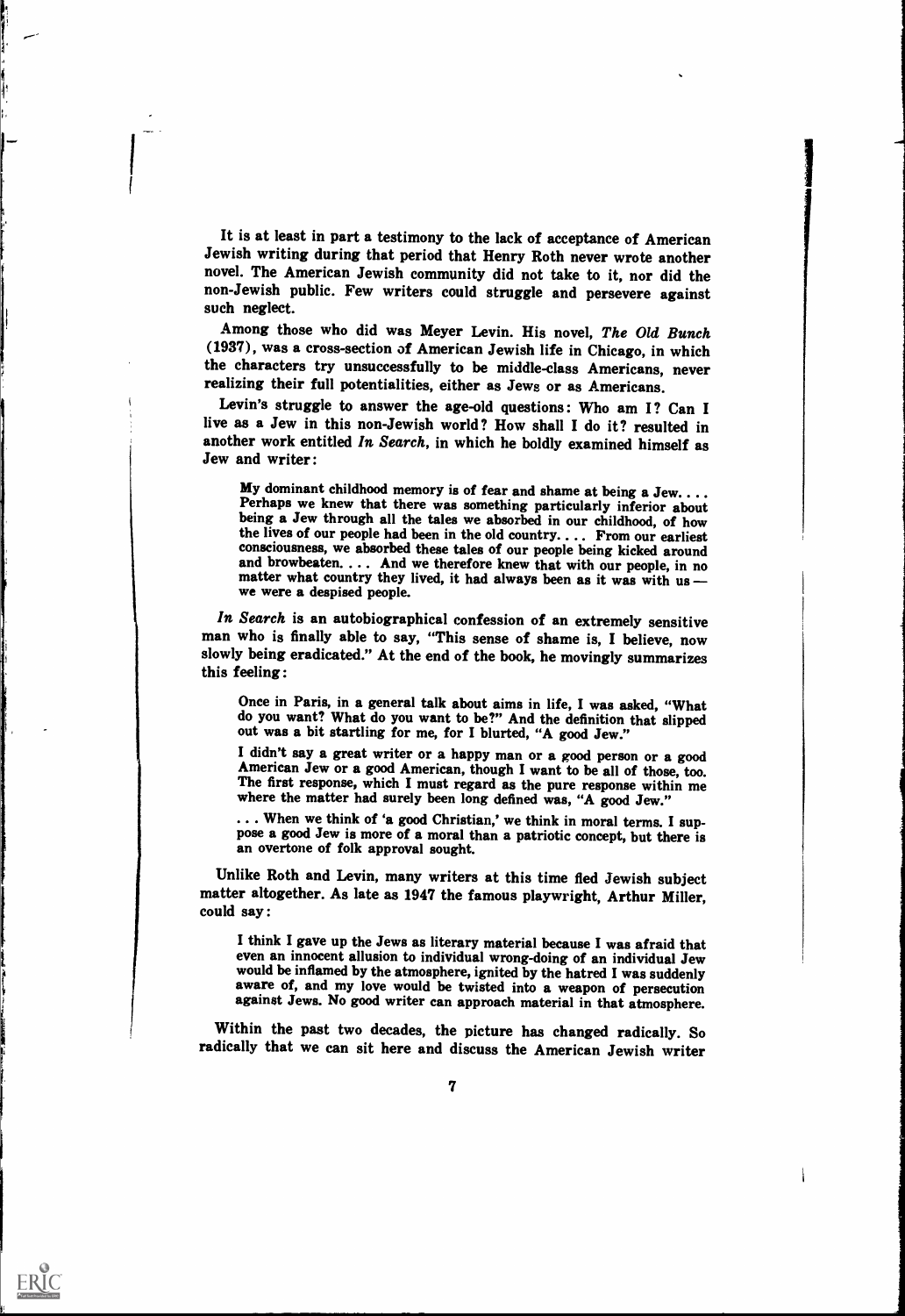It is at least in part a testimony to the lack of acceptance of American Jewish writing during that period that Henry Roth never wrote another novel. The American Jewish community did not take to it, nor did the non-Jewish public. Few writers could struggle and persevere against such neglect.

Among those who did was Meyer Levin. His novel, The Old Bunch (1937), was a cross-section of American Jewish life in Chicago, in which the characters try unsuccessfully to be middle-class Americans, never realizing their full potentialities, either as Jews or as Americans.

Levin's struggle to answer the age-old questions : Who am I? Can I live as a Jew in this non-Jewish world? How shall I do it? resulted in another work entitled In Search, in which he boldly examined himself as Jew and writer :

My dominant childhood memory is of fear and shame at being a Jew.... Perhaps we knew that there was something particularly inferior about being a Jew through all the tales we absorbed in our childhood, of how the lives of our people had been in the old country. . .. From our earliest consciousness, we absorbed these tales of our people being kicked around and browbeaten. . . . And we therefore knew that with our people, in no matter what country they lived, it had always been as it was with us we were a despised people.

In Search is an autobiographical confession of an extremely sensitive man who is finally able to say, "This sense of shame is, I believe, now slowly being eradicated." At the end of the book, he movingly summarizes this feeling:

Once in Paris, in a general talk about aims in life, I was asked, "What do you want? What do you want to be?" And the definition that slipped out was a bit startling for me, for I blurted, "A good Jew."

I didn't say a great writer or a happy man or a good person or a good American Jew or a good American, though I want to be all of those, too. The first response, which I must regard as the pure response within me where the

... When we think of 'a good Christian,' we think in moral terms. I suppose a good Jew is more of a moral than a patriotic concept, but there is an overtone of folk approval sought.

Unlike Roth and Levin, many writers at this time fled Jewish subject matter altogether. As late as 1947 the famous playwright, Arthur Miller, could say:

I think I gave up the Jews as literary material because I was afraid that even an innocent allusion to individual wrong-doing of an individual Jew would be inflamed by the atmosphere, ignited by the hatred I was suddenly aware of, and my love would be twisted into a weapon of persecution against Jews. No good writer can approach material in that atmosphere.

Within the past two decades, the picture has changed radically. So radically that we can sit here and discuss the American Jewish writer

1919 - 1919 - 1919 - 1919 - 1919<br>1919 - 1919 - 1919 - 1919 - 1919 - 1919 - 1919 - 1919 - 1919 - 1919 - 1919 - 1919 - 1919 - 1919 - 1919 - 1919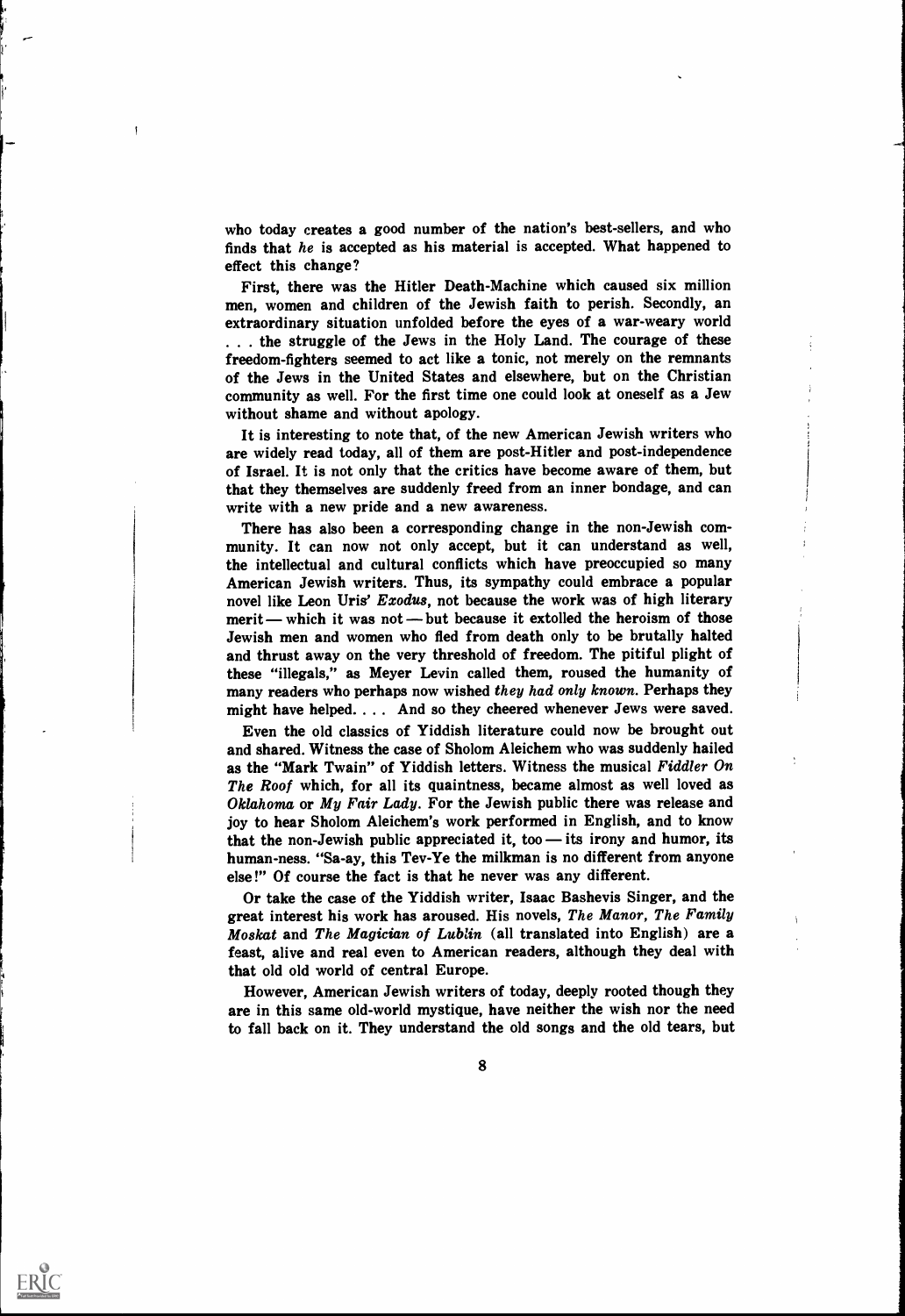who today creates a good number of the nation's best-sellers, and who finds that he is accepted as his material is accepted. What happened to effect this change?

First, there was the Hitler Death-Machine which caused six million men, women and children of the Jewish faith to perish. Secondly, an extraordinary situation unfolded before the eyes of a war-weary world . . . the struggle of the Jews in the Holy Land. The courage of these freedom-fighters seemed to act like a tonic, not merely on the remnants of the Jews in the United States and elsewhere, but on the Christian community as well. For the first time one could look at oneself as a Jew without shame and without apology.

It is interesting to note that, of the new American Jewish writers who are widely read today, all of them are post-Hitler and post-independence of Israel. It is not only that the critics have become aware of them, but that they themselves are suddenly freed from an inner bondage, and can write with a new pride and a new awareness.

There has also been a corresponding change in the non-Jewish community. It can now not only accept, but it can understand as well, the intellectual and cultural conflicts which have preoccupied so many American Jewish writers. Thus, its sympathy could embrace a popular novel like Leon Uris' Exodus, not because the work was of high literary merit — which it was not — but because it extolled the heroism of those Jewish men and women who fled from death only to be brutally halted and thrust away on the very threshold of freedom. The pitiful plight of these "illegals," as Meyer Levin called them, roused the humanity of many readers who perhaps now wished they had only known. Perhaps they might have helped. . . . And so they cheered whenever Jews were saved.

Even the old classics of Yiddish literature could now be brought out and shared. Witness the case of Sholom Aleichem who was suddenly hailed as the "Mark Twain" of Yiddish letters. Witness the musical Fiddler On The Roof which, for all its quaintness, became almost as well loved as Oklahoma or My Fair Lady. For the Jewish public there was release and joy to hear Sholom Aleichem's work performed in English, and to know that the non-Jewish public appreciated it, too  $-$  its irony and humor, its human-ness. "Sa-ay, this Tev-Ye the milkman is no different from anyone else !" Of course the fact is that he never was any different.

Or take the case of the Yiddish writer, Isaac Bashevis Singer, and the great interest his work has aroused. His novels, The Manor, The Family Moskat and The Magician of Lublin (all translated into English) are a feast, alive and real even to American readers, although they deal with that old old world of central Europe.

However, American Jewish writers of today, deeply rooted though they are in this same old-world mystique, have neither the wish nor the need to fall back on it. They understand the old songs and the old tears, but



11 and 12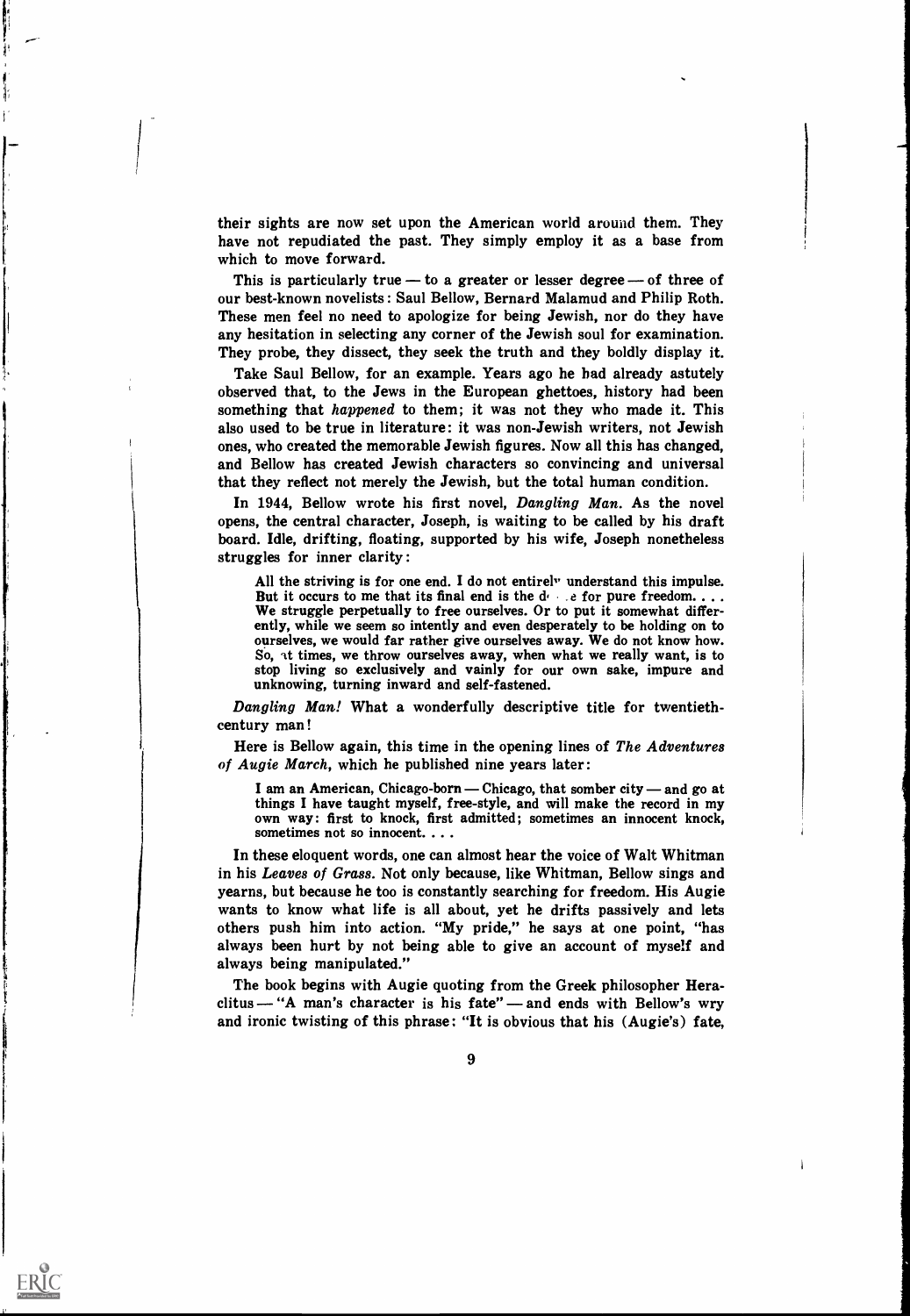their sights are now set upon the American world around them. They have not repudiated the past. They simply employ it as a base from which to move forward.

This is particularly true  $-$  to a greater or lesser degree  $-$  of three of our best-known novelists : Saul Bellow, Bernard Malamud and Philip Roth. These men feel no need to apologize for being Jewish, nor do they have any hesitation in selecting any corner of the Jewish soul for examination. They probe, they dissect, they seek the truth and they boldly display it.

Take Saul Bellow, for an example. Years ago he had already astutely observed that, to the Jews in the European ghettoes, history had been something that *happened* to them; it was not they who made it. This also used to be true in literature: it was non-Jewish writers, not Jewish ones, who created the memorable Jewish figures. Now all this has changed, and Bellow has created Jewish characters so convincing and universal that they reflect not merely the Jewish, but the total human condition.

In 1944, Bellow wrote his first novel, Dangling Man. As the novel opens, the central character, Joseph, is waiting to be called by his draft board. Idle, drifting, floating, supported by his wife, Joseph nonetheless struggles for inner clarity :

All the striving is for one end. I do not entirely understand this impulse.<br>But it occurs to me that its final end is the  $d_{\ell}$  e for pure freedom...<br>We struggle perpetually to free ourselves. Or to put it somewhat diff ently, while we seem so intently and even desperately to be holding on to ourselves, we would far rather give ourselves away. We do not know how. So, it times, we throw ourselves away, when what we really want, is to stop living so exclusively and vainly for our own sake, impure and unknowing, turning inward and self-fastened.

Dangling Man! What a wonderfully descriptive title for twentiethcentury man !

Here is Bellow again, this time in the opening lines of The Adventures of Augie March, which he published nine years later:

I am an American, Chicago-born — Chicago, that somber city — and go at things I have taught myself, free-style, and will make the record in my own way: first to knock, first admitted; sometimes an innocent knock, sometimes not so innocent. .. .

In these eloquent words, one can almost hear the voice of Walt Whitman in his Leaves of Grass. Not only because, like Whitman, Bellow sings and yearns, but because he too is constantly searching for freedom. His Augie wants to know what life is all about, yet he drifts passively and lets others push him into action. "My pride," he says at one point, "has always been hurt by not being able to give an account of myself and always being manipulated."

The book begins with Augie quoting from the Greek philosopher Heraclitus  $-$  "A man's character is his fate" - and ends with Bellow's wry and ironic twisting of this phrase ; "It is obvious that his (Augie's) fate,

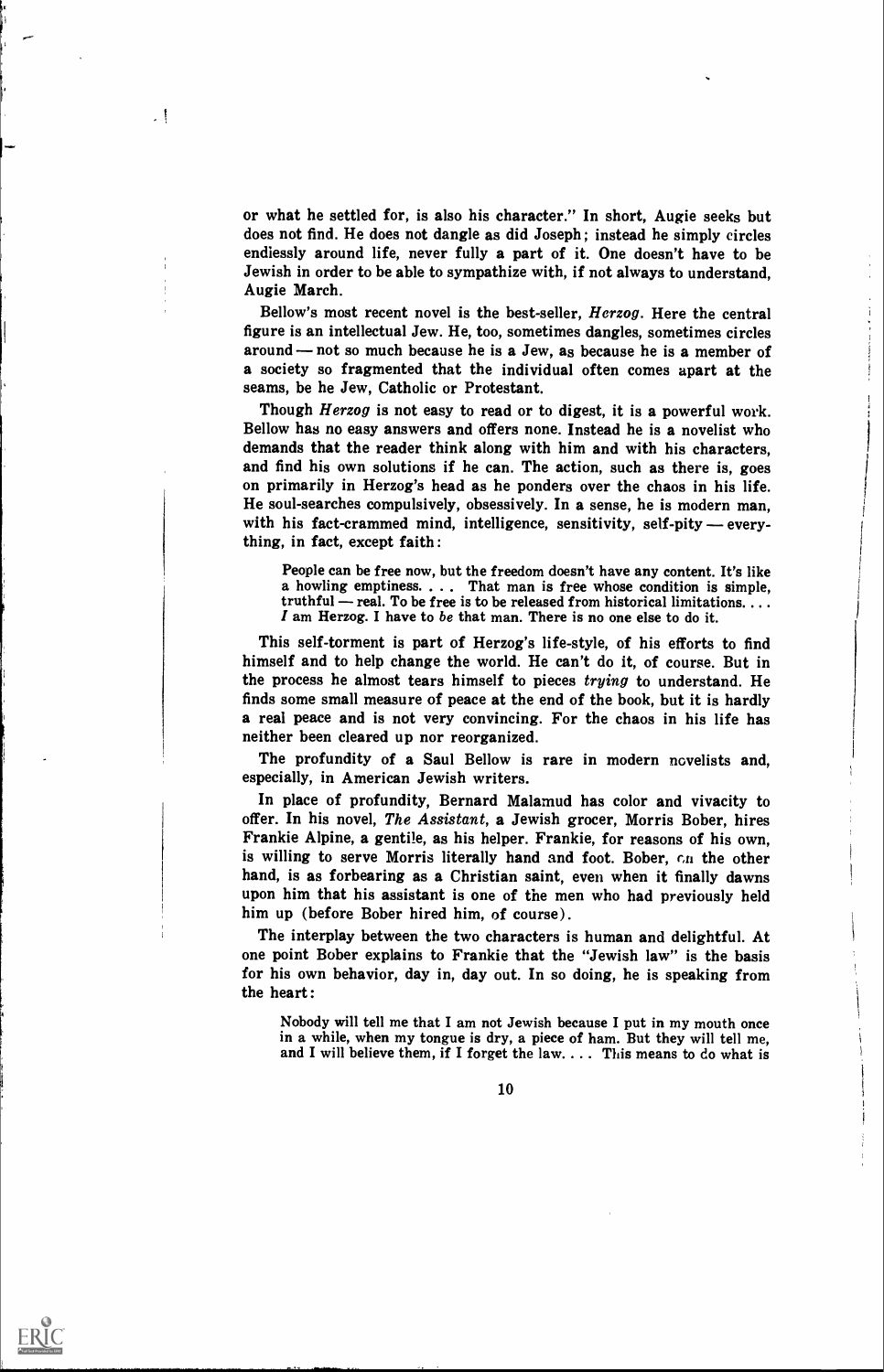or what he settled for, is also his character." In short, Augie seeks but does not find. He does not dangle as did Joseph; instead he simply circles endlessly around life, never fully a part of it. One doesn't have to be Jewish in order to be able to sympathize with, if not always to understand, Augie March.

Bellow's most recent novel is the best-seller, Herzog. Here the central figure is an intellectual Jew. He, too, sometimes dangles, sometimes circles around – not so much because he is a Jew, as because he is a member of a society so fragmented that the individual often comes apart at the seams, be he Jew, Catholic or Protestant.

Though Herzog is not easy to read or to digest, it is a powerful work. Bellow has no easy answers and offers none. Instead he is a novelist who demands that the reader think along with him and with his characters, and find his own solutions if he can. The action, such as there is, goes on primarily in Herzog's head as he ponders over the chaos in his life. He soul-searches compulsively, obsessively. In a sense, he is modern man, with his fact-crammed mind, intelligence, sensitivity, self-pity — everything, in fact, except faith :

People can be free now, but the freedom doesn't have any content. It's like<br>a howling emptiness.... That man is free whose condition is simple,<br>truthful — real. To be free is to be released from historical limitations....

This self-torment is part of Herzog's life-style, of his efforts to find himself and to help change the world. He can't do it, of course. But in the process he almost tears himself to pieces trying to understand. He finds some small measure of peace at the end of the book, but it is hardly a real peace and is not very convincing. For the chaos in his life has neither been cleared up nor reorganized.

The profundity of a Saul Bellow is rare in modern novelists and, especially, in American Jewish writers.

In place of profundity, Bernard Malamud has color and vivacity to offer. In his novel, The Assistant, a Jewish grocer, Morris Bober, hires Frankie Alpine, a gentile, as his helper. Frankie, for reasons of his own, is willing to serve Morris literally hand and foot. Bober,  $c_n$  the other hand, is as forbearing as a Christian saint, even when it finally dawns upon him that his assistant is one of the men who had previously held him up (before Bober hired him, of course).

The interplay between the two characters is human and delightful. At one point Bober explains to Frankie that the "Jewish law" is the basis for his own behavior, day in, day out. In so doing, he is speaking from the heart :

Nobody will tell me that I am not Jewish because I put in my mouth once in a while, when my tongue is dry, a piece of ham. But they will tell me. and I will believe them, if I forget the law.  $\dots$  This means to do what is



ERIC

 $\cdot$  !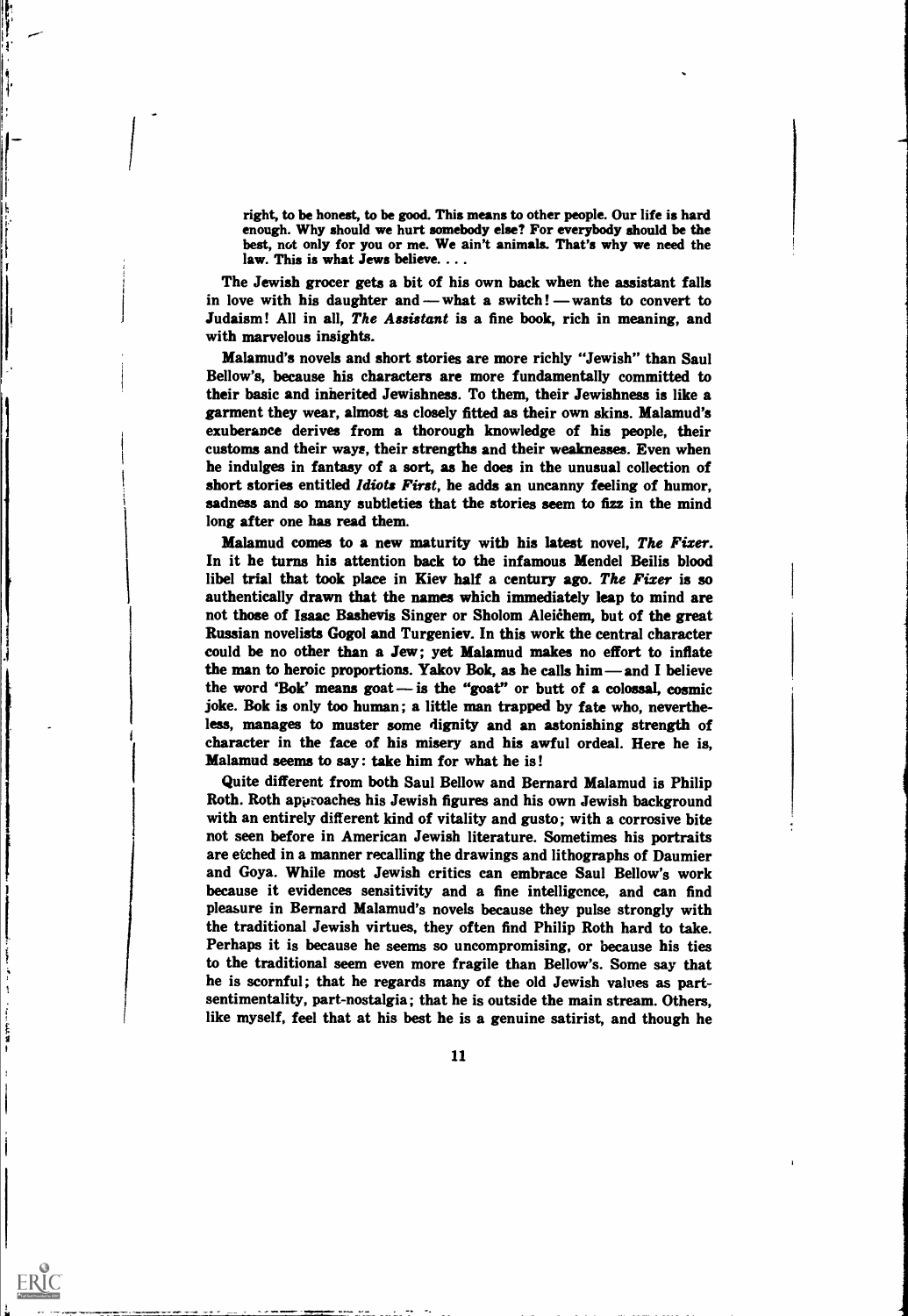right, to be honest, to be good. This means to other people. Our life is hard enough. Why should we hurt somebody else? For everybody should be the best, not only for you or me. We ain't animals. That's why we need the law. This is what Jews believe. . . .

The Jewish grocer gets a bit of his own back when the assistant falls in love with his daughter and — what a switch! — wants to convert to Judaism! All in all, The Assistant is a fine book, rich in meaning, and with marvelous insights.

I a shekara

1 1 1

ERIC

Malamud's novels and short stories are more richly "Jewish" than Saul Bellow's, because his characters are more fundamentally committed to their basic and inherited Jewishness. To them, their Jewishness is like a garment they wear, almost as closely fitted as their own skins. Malamud's exuberance derives from a thorough knowledge of his people, their customs and their ways, their strengths and their weaknesses. Even when he indulges in fantasy of a sort, as he does in the unusual collection of short stories entitled Idiots First, he adds an uncanny feeling of humor, sadness and so many subtleties that the stories seem to fizz in the mind long after one has read them.

Malamud comes to a new maturity with his latest novel, The Fixer. In it he turns his attention back to the infamous Mendel Beilis blood libel trial that took place in Kiev half a century ago. The Fixer is so authentically drawn that the names which immediately leap to mind are not those of Isaac Bashevis Singer or Sholom Aleichem, but of the great Russian novelists Gogol and Turgeniev. In this work the central character could be no other than a Jew; yet Malamud makes no effort to inflate the man to heroic proportions. Yakov Bok, as he calls  $him$ —and I believe the word 'Bok' means goat  $-$  is the "goat" or butt of a colossal, cosmic joke. Bok is only too human; a little man trapped by fate who, nevertheless, manages to muster some dignity and an astonishing strength of character in the face of his misery and his awful ordeal. Here he is, Malamud seems to say : take him for what he is!

Quite different from both Saul Bellow and Bernard Malamud is Philip Roth. Roth approaches his Jewish figures and his own Jewish background with an entirely different kind of vitality and gusto; with a corrosive bite not seen before in American Jewish literature. Sometimes his portraits are etched in a manner recalling the drawings and lithographs of Daumier and Goya. While most Jewish critics can embrace Saul Bellow's work because it evidences sensitivity and a fine intelligence, and can find pleasure in Bernard Malamud's novels because they pulse strongly with the traditional Jewish virtues, they often find Philip Roth hard to take. Perhaps it is because he seems so uncompromising, or because his ties to the traditional seem even more fragile than Bellow's. Some say that he is scornful; that he regards many of the old Jewish values as partsentimentality, part-nostalgia; that he is outside the main stream. Others, like myself, feel that at his best he is a genuine satirist, and though he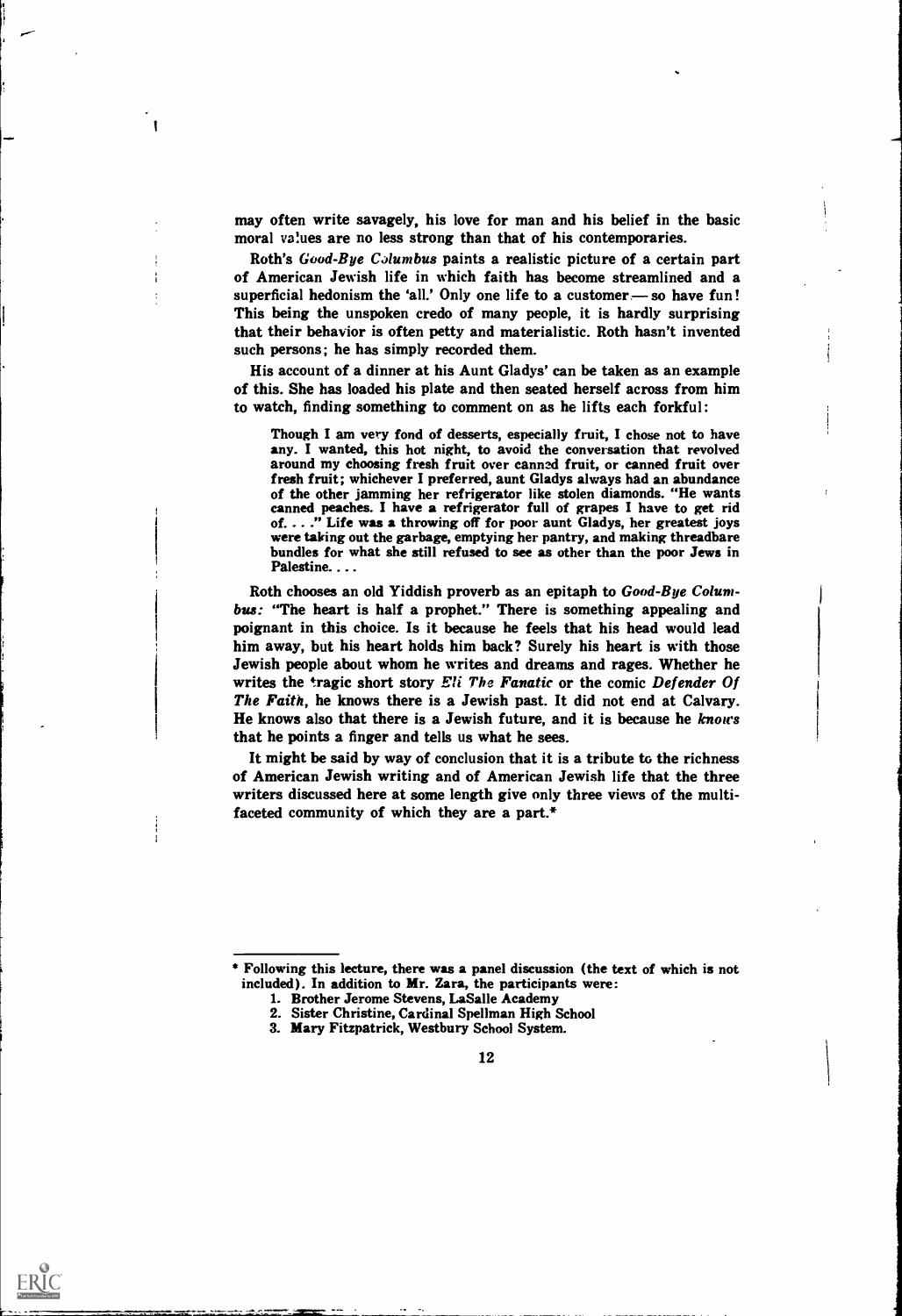may often write savagely, his love for man and his belief in the basic moral values are no less strong than that of his contemporaries.

Roth's Good-Bye Columbus paints a realistic picture of a certain part of American Jewish life in which faith has become streamlined and a superficial hedonism the 'all.' Only one life to a customer-so have fun! This being the unspoken credo of many people, it is hardly surprising that their behavior is often petty and materialistic. Roth hasn't invented such persons; he has simply recorded them.

His account of a dinner at his Aunt Gladys' can be taken as an example of this. She has loaded his plate and then seated herself across from him to watch, finding something to comment on as he lifts each forkful:

Though I am very fond of desserts, especially fruit, I chose not to have any. I wanted, this hot night, to avoid the conversation that revolved around my choosing fresh fruit over canned fruit, or canned fruit over fresh fruit; whichever I preferred, aunt Gladys always had an abundance of the other jamming her refrigerator like stolen diamonds. "He wants canned peaches. I have a refrigerator full of grapes I have to get rid of. . . ." Life was a throwing off for poor aunt Gladys, her greatest joys were taking out the garbage, emptying her pantry, and making threadbare bundles for what she still refused to see as other than the poor Jews in Palestine...

Roth chooses an old Yiddish proverb as an epitaph to Good-Bye Columbus: "The heart is half a prophet." There is something appealing and poignant in this choice. Is it because he feels that his head would lead him away, but his heart holds him back? Surely his heart is with those Jewish people about whom he writes and dreams and rages. Whether he writes the tragic short story Eli The Fanatic or the comic Defender Of The Faith, he knows there is a Jewish past. It did not end at Calvary. He knows also that there is a Jewish future, and it is because he knows that he points a finger and tells us what he sees.

It might be said by way of conclusion that it is a tribute to the richness of American Jewish writing and of American Jewish life that the three writers discussed here at some length give only three views of the multifaceted community of which they are a part.\*

<sup>3.</sup> Mary Fitzpatrick, Westbury School System.



<sup>\*</sup> Following this lecture, there was a panel discussion (the text of which is not included). In addition to Mr. Zara, the participants were:

<sup>1.</sup> Brother Jerome Stevens, LaSalle Academy

<sup>2.</sup> Sister Christine, Cardinal Spellman High School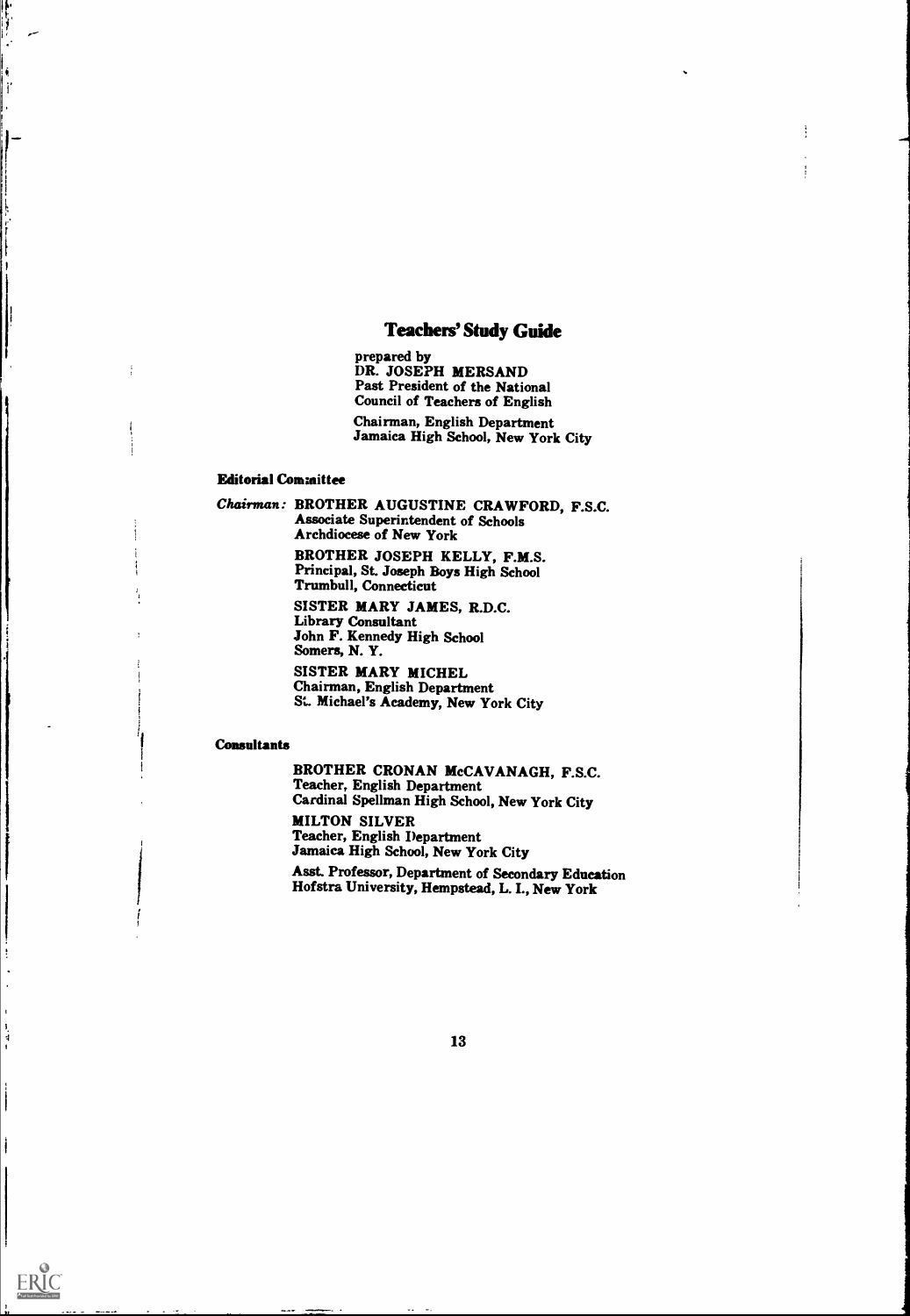## Teachers' Study Guide

prepared by DR. JOSEPH MERSAND Past President of the National Council of Teachers of English Chairman, English Department Jamaica High School, New York City

#### **Editorial Committee**

 $\frac{1}{2}$ 

 $\mathbf{r}$ 

4

ERIC

Chairman: BROTHER AUGUSTINE CRAWFORD, F.S.C. Associate Superintendent of Schools Archdiocese of New York BROTHER JOSEPH KELLY, F.M.S. Principal, St. Joseph Boys High School Trumbull, Connecticut

SISTER MARY JAMES, R.D.C. Library Consultant John F. Kennedy High School Somers, N. Y. SISTER MARY MICHEL

Chairman, English Department St. Michael's Academy, New York City

#### **Consultants**

BROTHER CRONAN McCAVANAGH, F.S.C. Teacher, English Department Cardinal Spellman High School, New York City

MILTON SILVER Teacher, English Department Jamaica High School, New York City

Asst. Professor, Department of Secondary Education Hofstra University, Hempstead, L. I., New York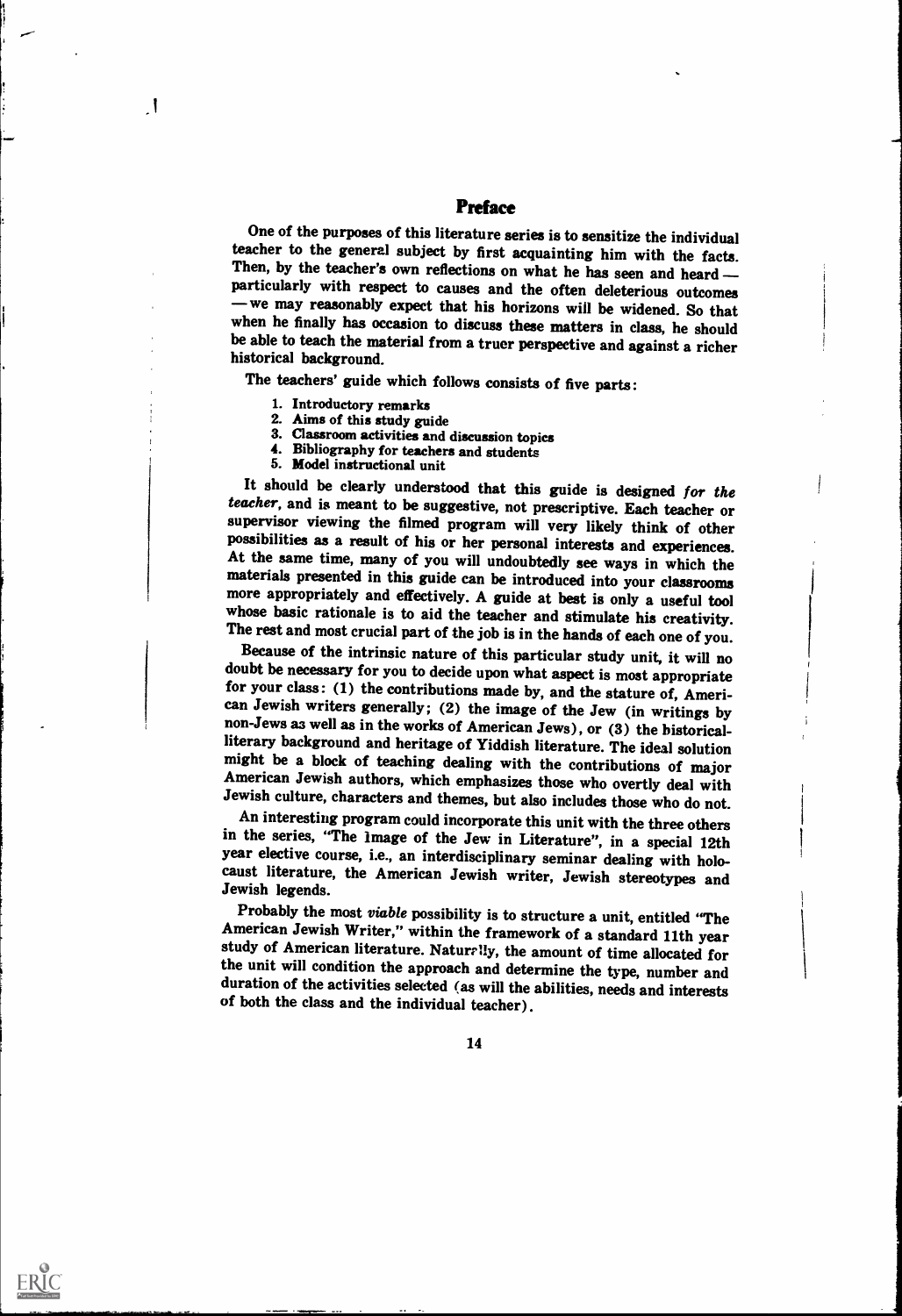## Preface

One of the purposes of this literature series is to sensitize the individual teacher to the general subject by first acquainting him with the facts. Then, by the teacher's own reflections on what he has seen and heard particularly with respect to causes and the often deleterious outcomes - we may reasonably expect that his horizons will be widened. So that when he finally has occasion to discuss these matters in class, he should be able to teach the material from a truer perspective and against a richer historical background.

The teachers' guide which follows consists of five parts :

I

ERIC

- 
- 1. Introductory remarks<br>2. Aims of this study guide<br>3. Classroom activities and discussion topics
- 4. Bibliography for teachers and students 5. Model instructional unit
- 

It should be clearly understood that this guide is designed for the<br>teacher, and is meant to be suggestive, not prescriptive. Each teacher or<br>supervisor viewing the filmed program will very likely think of other<br>possibilit

doubt be necessary for you to decide upon what aspect is most appropriate for your class: (1) the contributions made by, and the stature of, American Jewish writers generally; (2) the image of the Jew (in writings by non-Jews as well as in the works of American Jews), or (3) the bistorical-<br>literary background and heritage of Yiddish literature. The ideal solution might be a block of teaching dealing with the contributions of major American Jewish authors, which emphasizes those who overtly deal with

Jewish culture, characters and themes, but also includes those who do not.<br>An interesting program could incorporate this unit with the three others in the series, "The image of the Jew in Literature", in a special 12th year elective course, i.e., an interdisciplinary seminar dealing with holocaust literature, the American Jewish writer, Jewish stereotypes and Jewish legends.

Probably the most *viable* possibility is to structure a unit, entitled "The American Jewish Writer," within the framework of a standard 11th year study of American literature. Naturally, the amount of time allocated for<br>the unit will condition the approach and determine the type, number and<br>duration of the activities selected (as will the abilities, needs and intere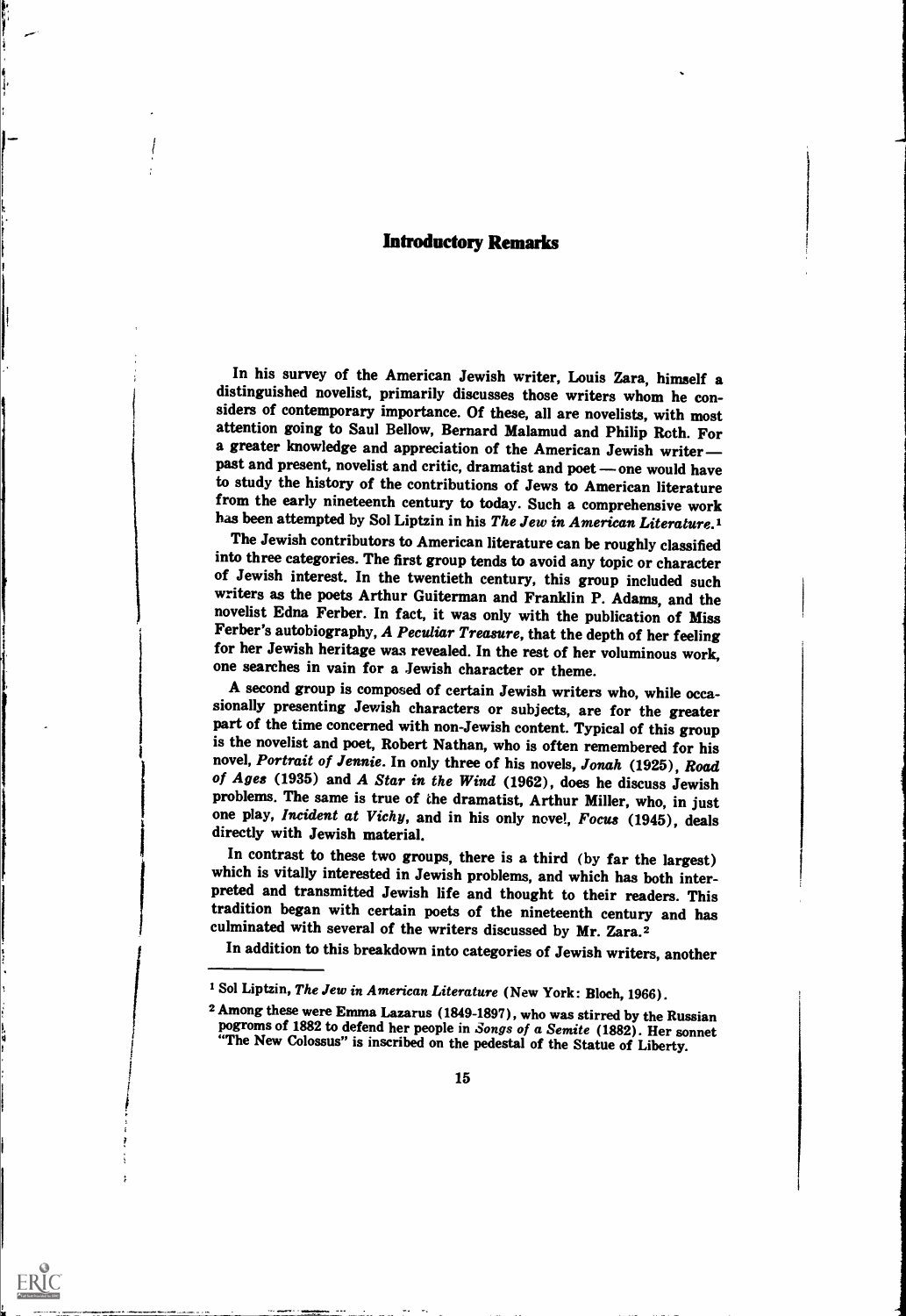## Introductory Remarks

In his survey of the American Jewish writer, Louis Zara, himself a distinguished novelist, primarily discusses those writers whom he considers of contemporary importance. Of these, all are novelists, with most attention going to Saul Bellow, Bernard Malamud and Philip Roth. For a greater knowledge and appreciation of the American Jewish writer past and present, novelist and critic, dramatist and poet - one would have to study the history of the contributions of Jews to American literature from the early nineteenth century to today. Such a comprehensive work has been attempted by Sol Liptzin in his The Jew in American Literature.<sup>1</sup>

The Jewish contributors to American literature can be roughly classified<br>into three categories. The first group tends to avoid any topic or character of Jewish interest. In the twentieth century, this group included such writers as the poets Arthur Guiterman and Franklin P. Adams, and the novelist Edna Ferber. In fact, it was only with the publication of Miss Ferber's autobiography, A Peculiar Treasure, that the depth of her feeling for her Jewish heritage was revealed. In the rest of her voluminous work, one searches in vain for a Jewish character or theme.

A second group is composed of certain Jewish writers who, while occa-<br>sionally presenting Jewish characters or subjects, are for the greater part of the time concerned with non-Jewish content. Typical of this group is the novelist and poet, Robert Nathan, who is often remembered for his novel, *Portrait of Jennie*. In only three of his novels, *Jonah* (1925), *Road* of Ages (1935) and A Star in the Wind (1962), does he discuss Jewish problems. The same is true of the dramatist, Arthur Miller, who, in just one play, *Incident at Vichy*, and in his only novel, *Focus* (1945), deals dir

In contrast to these two groups, there is a third (by far the largest) which is vitally interested in Jewish problems, and which has both inter- preted and transmitted Jewish life and thought to their readers. This tradition began with certain poets of the nineteenth century and has culminated with several of the writers discussed by Mr. Zara.2

In addition to this breakdown into categories of Jewish writers, another

I

<sup>&</sup>lt;sup>1</sup> Sol Liptzin, The Jew in American Literature (New York: Bloch, 1966).

<sup>&</sup>lt;sup>2</sup> Among these were Emma Lazarus (1849-1897), who was stirred by the Russian pogroms of 1882 to defend her people in *Songs of a Semite* (1882). Her sonnet "The New Colossus" is inscribed on the pedestal of the Statue of Liberty.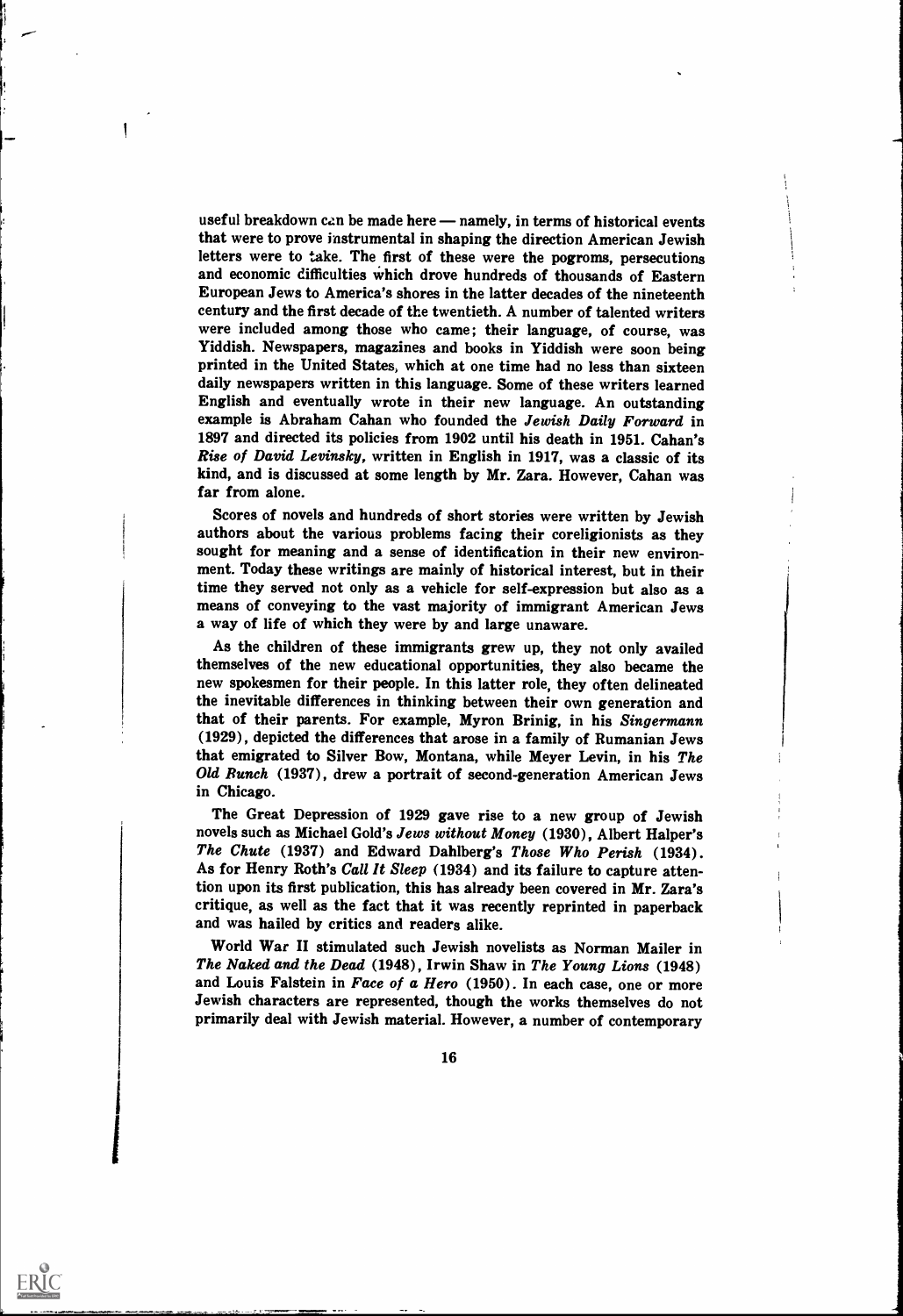useful breakdown can be made here — namely, in terms of historical events that were to prove instrumental in shaping the direction American Jewish letters were to take. The first of these were the pogroms, persecutions and economic difficulties which drove hundreds of thousands of Eastern European Jews to America's shores in the latter decades of the nineteenth century and the first decade of the twentieth. A number of talented writers were included among those who came; their language, of course, was Yiddish. Newspapers, magazines and books in Yiddish were soon being printed in the United States, which at one time had no less than sixteen daily newspapers written in this language. Some of these writers learned English and eventually wrote in their new language. An outstanding example is Abraham Cahan who founded the Jewish Daily Forward in 1897 and directed its policies from 1902 until his death in 1951. Cahan's Rise of David Levinsky, written in English in 1917, was a classic of its kind, and is discussed at some length by Mr. Zara. However, Cahan was far from alone.

i

i

l,

ERIC

Scores of novels and hundreds of short stories were written by Jewish authors about the various problems facing their coreligionists as they sought for meaning and a sense of identification in their new environment. Today these writings are mainly of historical interest, but in their time they served not only as a vehicle for self-expression but also as a means of conveying to the vast majority of immigrant American Jews a way of life of which they were by and large unaware.

As the children of these immigrants grew up, they not only availed themselves of the new educational opportunities, they also became the new spokesmen for their people. In this latter role, they often delineated the inevitable differences in thinking between their own generation and that of their parents. For example, Myron Brinig, in his Singermann (1929), depicted the differences that arose in a family of Rumanian Jews that emigrated to Silver Bow, Montana, while Meyer Levin, in his The Old Bunch (1937), drew a portrait of second-generation American Jews in Chicago.

The Great Depression of 1929 gave rise to a new group of Jewish novels such as Michael Gold's Jews without Money (1930), Albert Halper's The Chute (1937) and Edward Dahlberg's Those Who Perish (1934). As for Henry Roth's Call It Sleep (1934) and its failure to capture attention upon its first publication, this has already been covered in Mr. Zara's critique, as well as the fact that it was recently reprinted in paperback and was hailed by critics and readers alike.

World War II stimulated such Jewish novelists as Norman Mailer in The Naked and the Dead (1948), Irwin Shaw in The Young Lions (1948) and Louis Falstein in Face of a Hero (1950). In each case, one or more Jewish characters are represented, though the works themselves do not primarily deal with Jewish material. However, a number of contemporary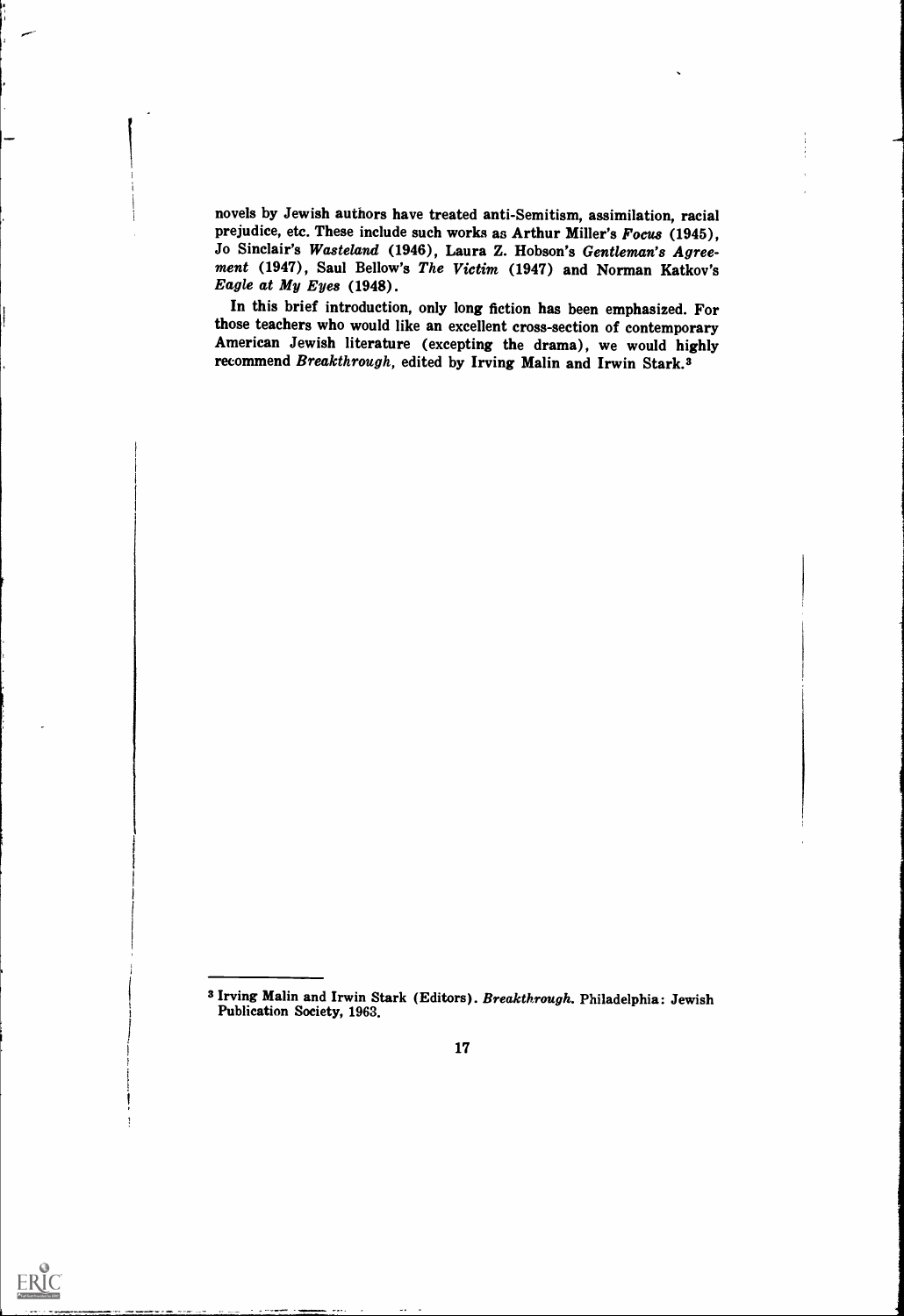novels by Jewish authors have treated anti-Semitism, assimilation, racial prejudice, etc. These include such works as Arthur Miller's Focus (1945), Jo Sinclair's Wasteland (1946), Laura Z. Hobson's Gentleman's Agreement (1947), Saul Bellow's The Victim (1947) and Norman Katkov's Eagle at My Eyes (1948).

In this brief introduction, only long fiction has been emphasized. For those teachers who would like an excellent cross-section of contemporary American Jewish literature (excepting the drama), we would highly recommend Breakthrough, edited by Irving Malin and Irwin Stark.3

<sup>3</sup> Irving Malin and Irwin Stark (Editors). Breakthrough. Philadelphia: Jewish Publication Society, 1963.



 $ERIC$ 

 $\frac{1}{2}$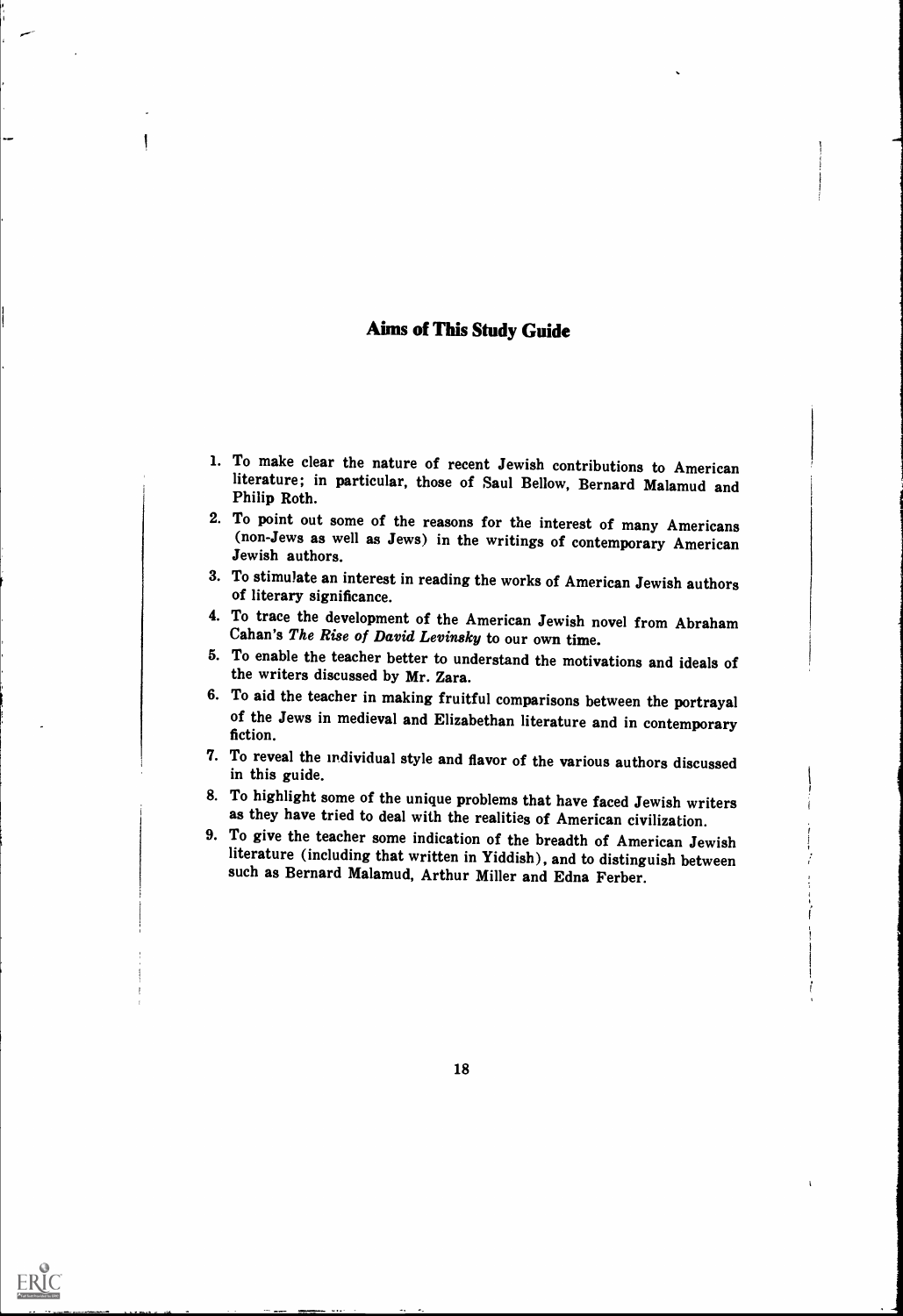## Aims of This Study Guide

- 1. To make clear the nature of recent Jewish contributions to American literature; in particular, those of Saul Bellow, Bernard Malamud and Philip Roth.
- 2. To point out some of the reasons for the interest of many Americans (non-Jews as well as Jews) in the writings of contemporary American Jewish authors.
- 3. To stimulate an interest in reading the works of American Jewish authors of literary significance.
- 4. To trace the development of the American Jewish novel from Abraham Cahan's The Rise of David Levinsky to our own time.
- 5. To enable the teacher better to understand the motivations and ideals of the writers discussed by Mr. Zara.<br>6. To aid the teacher in making fruitful comparisons between the portrayal
- of the Jews in medieval and Elizabethan literature and in contemporary fiction.
- 7. To reveal the individual style and flavor of the various authors discussed in this guide.

t i s 11 (1993) 12

- 8. To highlight some of the unique problems that have faced Jewish writers as they have tried to deal with the realities of American civilization.
- 9. To give the teacher some indication of the breadth of American Jewish literature (including that written in Yiddish), and to distinguish between such as Bernard Malamud, Arthur Miller and Edna Ferber.

18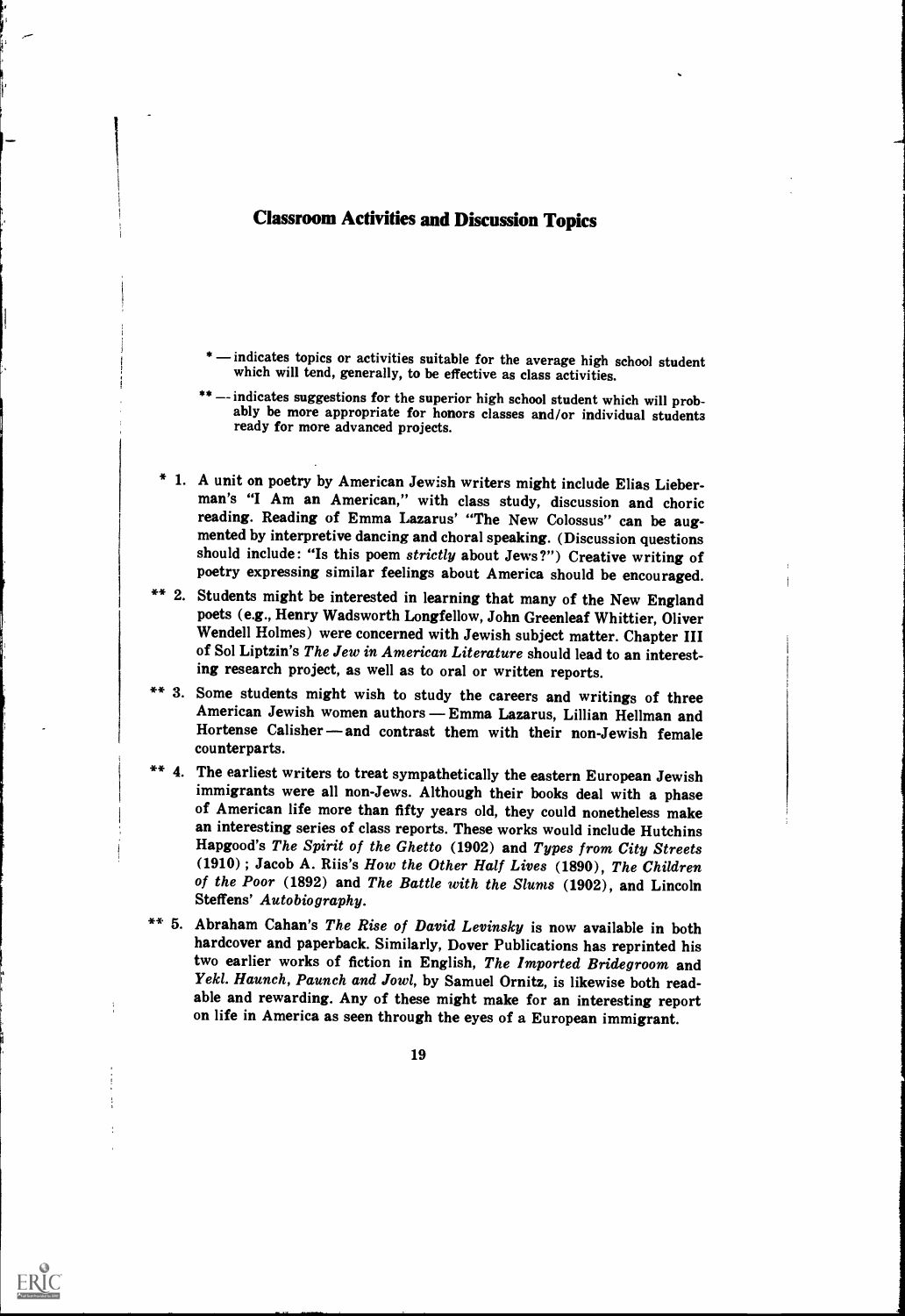## Classroom Activities and Discussion Topics

- \* indicates topics or activities suitable for the average high school student which will tend, generally, to be effective as class activities.
- \*\* -- indicates suggestions for the superior high school student which will prob-<br>ably be more appropriate for honors classes and/or individual students<br>ready for more advanced projects.
- \* 1. A unit on poetry by American Jewish writers might include Elias Lieber- man's "I Am an American," with class study, discussion and choric reading. Reading of Emma Lazarus' "The New Colossus" can be aug-<br>mented by interpretive dancing and choral speaking. (Discussion questions should include: "Is this poem strictly about Jews?") Creative writing of poetry expressing similar feelings about America should be encouraged.
- \*\* 2. Students might be interested in learning that many of the New England poets (e.g., Henry Wadsworth Longfellow, John Greenleaf Whittier, Oliver Wendell Holmes) were concerned with Jewish subject matter. Chapter III of Sol Liptzin's The Jew in American Literature should lead to an interesting research project, as well as to oral or written reports.
- \*\* 3. Some students might wish to study the careers and writings of three<br>American Jewish women authors Emma Lazarus, Lillian Hellman and American Jewish women authors — Emma Lazarus, Lillian Hellman and<br>Hortense Calisher — and contrast them with their non-Jewish female counterparts.
- \*\* 4. The earliest writers to treat sympathetically the eastern European Jewish immigrants were all non-Jews. Although their books deal with a phase of American life more than fifty years old, they could nonetheless make an interesting series of class reports. These works would include Hutchins Hapgood's The Spirit of the Ghetto (1902) and Types from City Streets (1910) ; Jacob A. Riis's How the Other Half Lives (1890), The Children of the Poor (1892) and The Battle with the Slums (1902), and Lincoln Steffens' Autobiography.
- \*\* 5. Abraham Cahan's The Rise of David Levinsky is now available in both hardcover and paperback. Similarly, Dover Publications has reprinted his two earlier works of fiction in English, The Imported Bridegroom and Yekl. Haunch, Paunch and Jowl, by Samuel Ornitz, is likewise both readable and rewarding. Any of these might make for an interesting report on life in America as seen through the eyes of a European immigrant.

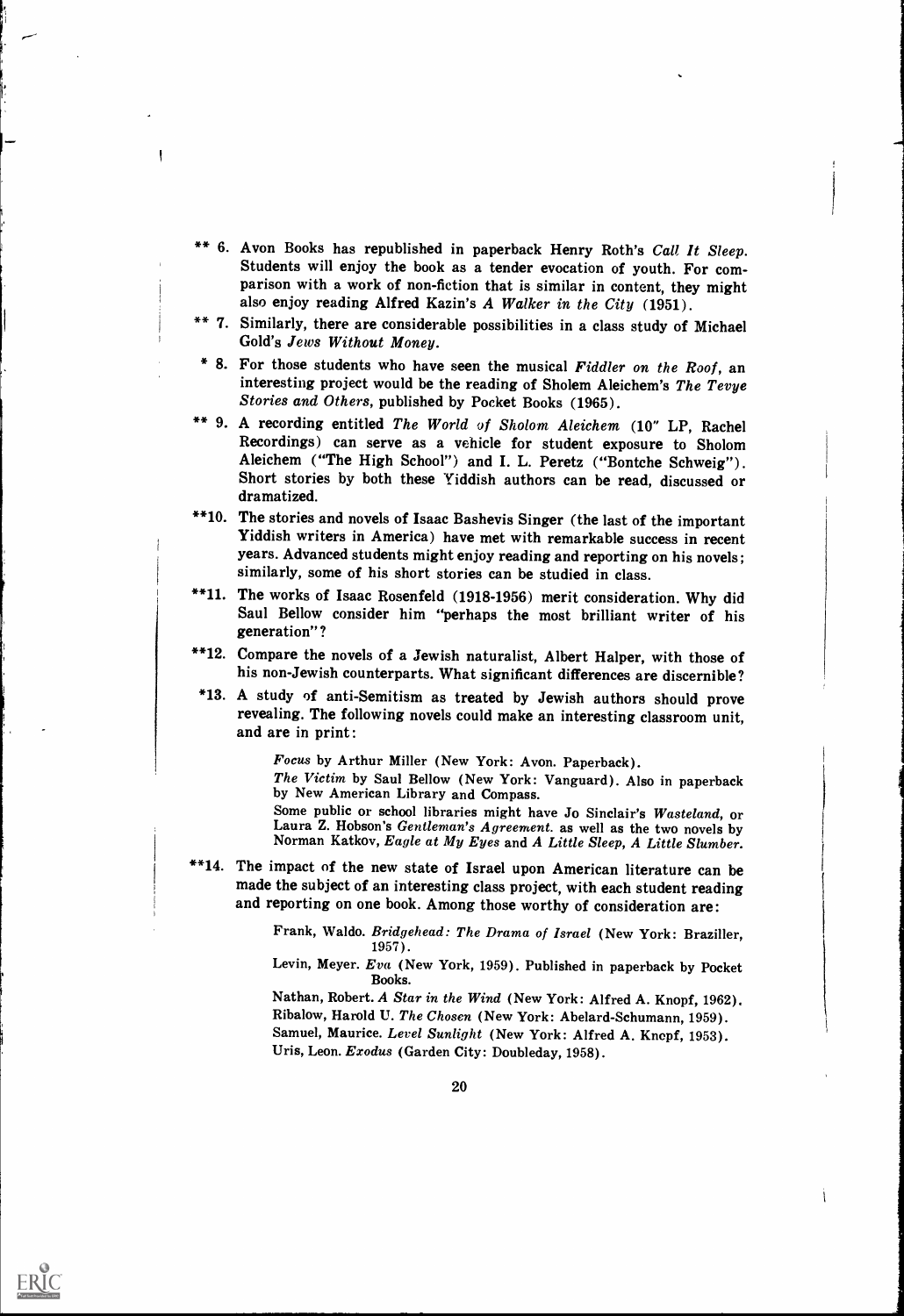\*\* 6. Avon Books has republished in paperback Henry Roth's Call It Sleep.<br>Students will enjoy the book as a tender evocation of youth. For comparison with a work of non-fiction that is similar in content, they might also enjoy reading Alfred Kazin's A Walker in the City (1951).

I

ERIC

- \*\* 7. Similarly, there are considerable possibilities in a class study of Michael Gold's Jews Without Money.
- \* 8. For those students who have seen the musical Fiddler on the Roof, an interesting project would be the reading of Sholem Aleichem's The Tevye Stories and Others, published by Pocket Books (1965).
- \*\* 9. A recording entitled The World of Sholom Aleichem (10" LP, Rachel Recordings) can serve as a vehicle for student exposure to Sholom Aleichem ("The High School") and I. L. Peretz ("Bontche Schweig"). Short stories by both these Yiddish authors can be read, discussed or dramatized.
- \*\*10. The stories and novels of Isaac Bashevis Singer (the last of the important Yiddish writers in America) have met with remarkable success in recent years. Advanced students might enjoy reading and reporting on his novels; similarly, some of his short stories can be studied in class.
- \*\*11. The works of Isaac Rosenfeld (1918-1956) merit consideration. Why did Saul Bellow consider him "perhaps the most brilliant writer of his generation"?
- \*\*12. Compare the novels of a Jewish naturalist, Albert Halper, with those of his non-Jewish counterparts. What significant differences are discernible?
- \*13. A study of anti-Semitism as treated by Jewish authors should prove revealing. The following novels could make an interesting classroom unit, and are in print :

Focus by Arthur Miller (New York: Avon. Paperback).

The Victim by Saul Bellow (New York: Vanguard). Also in paperback by New American Library and Compass.

- Some public or school libraries might have Jo Sinclair's Wasteland, or Laura Z. Hobson's Gentleman's Agreement. as well as the two novels by Norman Katkov, Eagle at My Eyes and A Little Sleep, A Little Slumber.
- \*\*14. The impact of the new state of Israel upon American literature can be made the subject of an interesting class project, with each student reading and reporting on one book. Among those worthy of consideration are:

Frank, Waldo. Bridgehead: The Drama of Israel (New York: Braziller, 1957).

Levin, Meyer. Eva (New York, 1959). Published in paperback by Pocket Books.

Nathan, Robert. A Star in the Wind (New York: Alfred A. Knopf, 1962). Ribalow, Harold U. The Chosen (New York: Abelard-Schumann, 1959). Samuel, Maurice. Level Sunlight (New York: Alfred A. Knopf, 1953). Uris, Leon. Exodus (Garden City: Doubleday, 1958).

I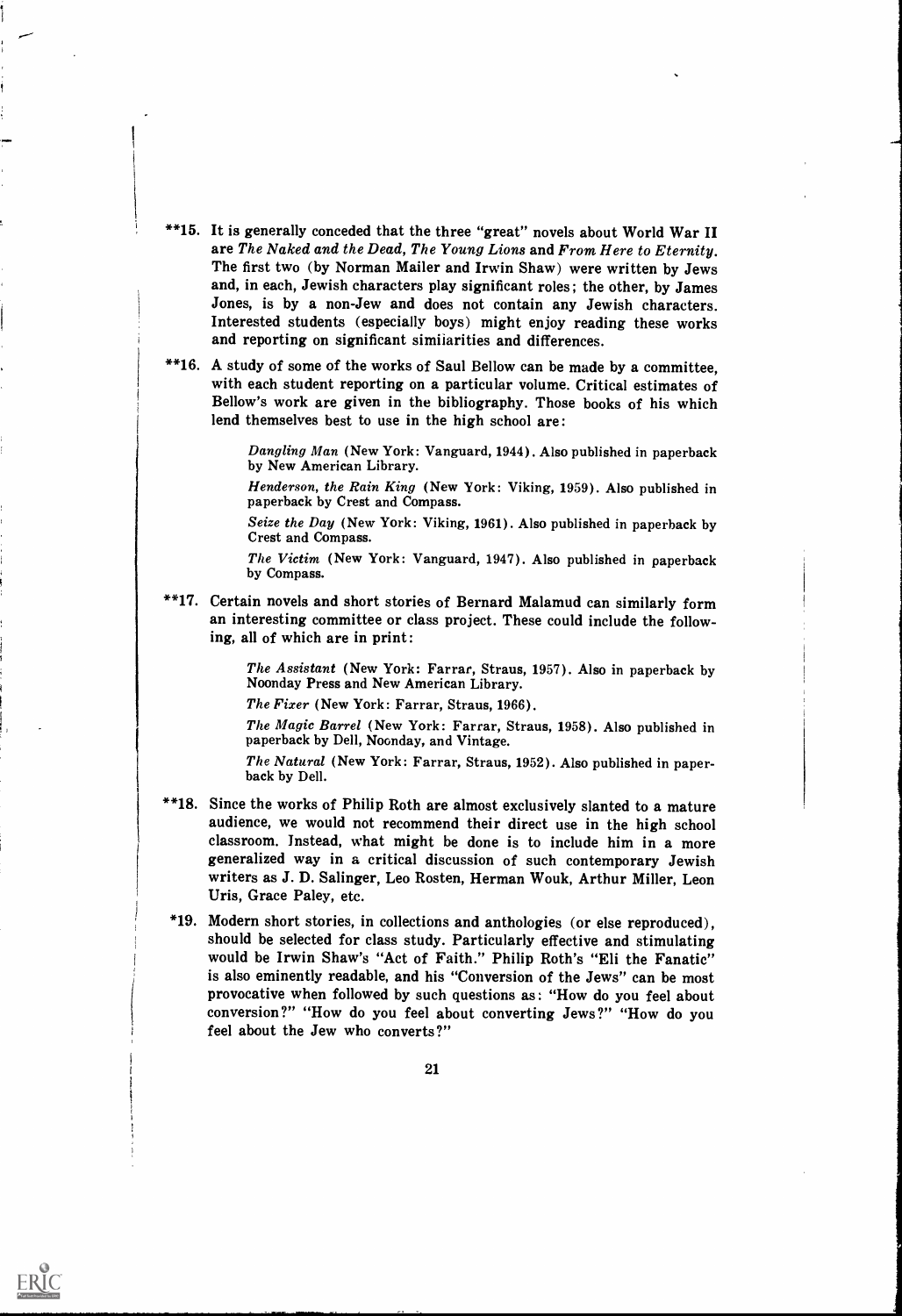- \*\*15. It is generally conceded that the three "great" novels about World War II are The Naked and the Dead, The Young Lions and From Here to Eternity. The first two (by Norman Mailer and Irwin Shaw) were written by Jews and, in each, Jewish characters play significant roles; the other, by James Jones, is by a non-Jew and does not contain any Jewish characters. Interested students (especially boys) might enjoy reading these works and reporting on significant similarities and differences.
- \*\*16. A study of some of the works of Saul Bellow can be made by a committee, with each student reporting on a particular volume. Critical estimates of Bellow's work are given in the bibliography. Those books of his which lend themselves best to use in the high school are:

Dangling Man (New York: Vanguard, 1944). Also published in paperback by New American Library.

Henderson, the Rain King (New York: Viking, 1959). Also published in paperback by Crest and Compass.

Seize the Day (New York: Viking, 1961). Also published in paperback by Crest and Compass.

The Victim (New York: Vanguard, 1947). Also published in paperback by Compass.

\*\*17. Certain novels and short stories of Bernard Malamud can similarly form an interesting committee or class project. These could include the following, all of which are in print:

The Assistant (New York: Farrar, Straus, 1957). Also in paperback by Noonday Press and New American Library.

The Fixer (New York: Farrar, Straus, 1966).

The Magic Barrel (New York: Farrar, Straus, 1958). Also published in paperback by Dell, Noonday, and Vintage.

The Natural (New York: Farrar, Straus, 1952). Also published in paper-back by Dell.

- \*\*18. Since the works of Philip Roth are almost exclusively slanted to a mature audience, we would not recommend their direct use in the high school classroom. Instead, what might be done is to include him in a more generalized way in a critical discussion of such contemporary Jewish writers as J. D. Salinger, Leo Rosten, Herman Wouk, Arthur Miller, Leon Uris, Grace Paley, etc.
- \*19. Modern short stories, in collections and anthologies (or else reproduced), should be selected for class study. Particularly effective and stimulating would be Irwin Shaw's "Act of Faith." Philip Roth's "Eli the Fanatic" is also eminently readable, and his "Conversion of the Jews" can be most provocative when followed by such questions as: "How do you feel about conversion?" "How do you feel about converting Jews?" "How do you feel about the Jew who converts?"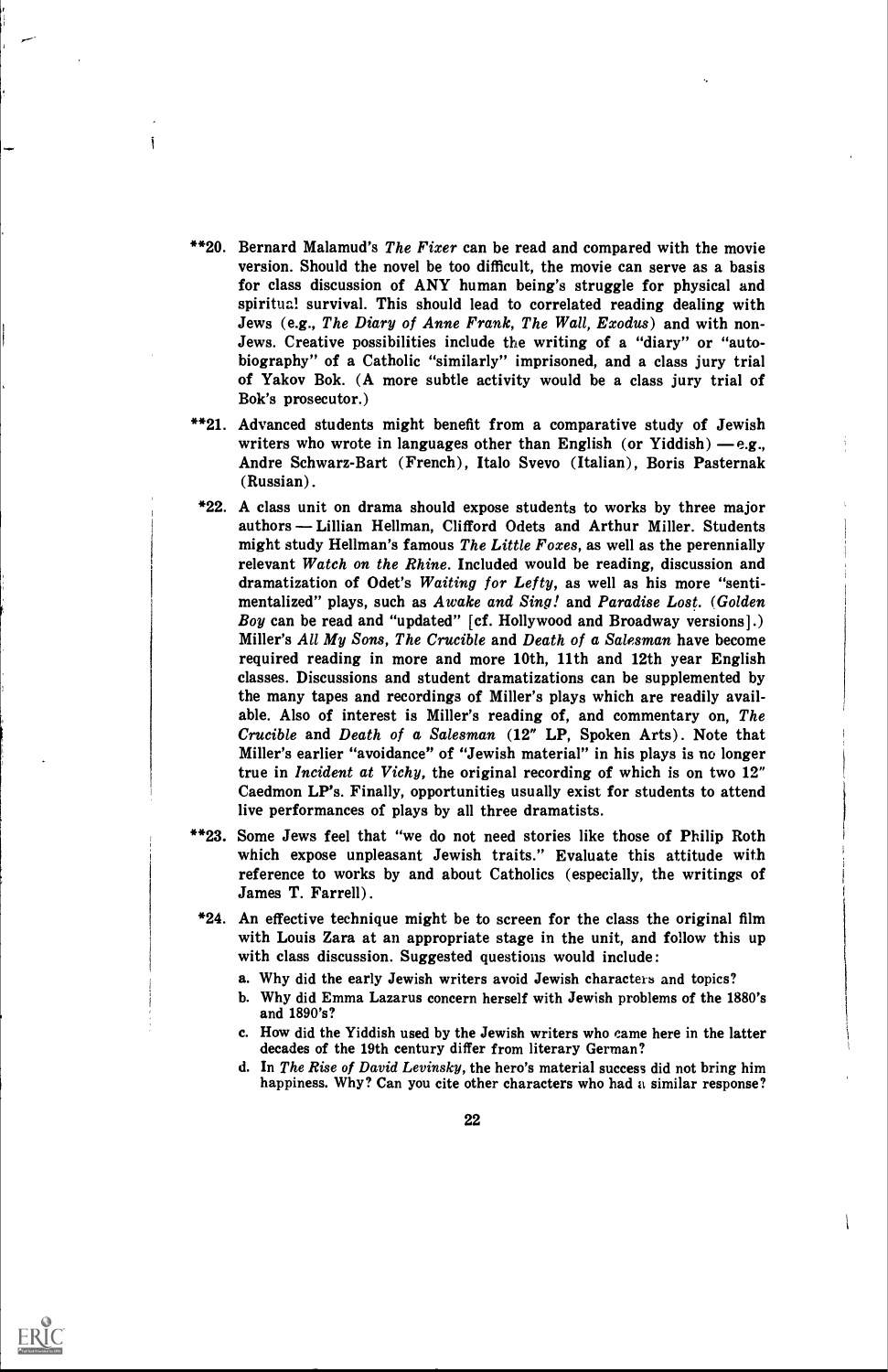\*\*20. Bernard Malamud's The Fixer can be read and compared with the movie version. Should the novel be too difficult, the movie can serve as a basis for class discussion of ANY human being's struggle for physical and spiritual survival. This should lead to correlated reading dealing with Jews (e.g., The Diary of Anne Frank, The Wall, Exodus) and with non-Jews. Creative possibilities include the writing of a "diary" or "autobiography" of a Catholic "similarly" imprisoned, and a class jury trial of Yakov Bok. (A more subtle activity would be a class jury trial of Bok's prosecutor.)

i

- \*\*21. Advanced students might benefit from a comparative study of Jewish writers who wrote in languages other than English (or Yiddish)  $-e.g.,$ Andre Schwarz-Bart (French), Italo Svevo (Italian), Boris Pasternak (Russian).
- \*22. A class unit on drama should expose students to works by three major authors — Lillian Hellman, Clifford Odets and Arthur Miller. Students might study Hellman's famous The Little Foxes, as well as the perennially relevant Watch on the Rhine. Included would be reading, discussion and dramatization of Odet's Waiting for Lefty, as well as his more "sentimentalized" plays, such as Awake and Sing! and Paradise Lost. (Golden Boy can be read and "updated" [cf. Hollywood and Broadway versions].) Miller's All My Sons, The Crucible and Death of a Salesman have become required reading in more and more 10th, 11th and 12th year English classes. Discussions and student dramatizations can be supplemented by the many tapes and recordings of Miller's plays which are readily available. Also of interest is Miller's reading of, and commentary on, The Crucible and Death of a Salesman (12" LP, Spoken Arts). Note that Miller's earlier "avoidance" of "Jewish material" in his plays is no longer true in Incident at Vichy, the original recording of which is on two 12" Caedmon LP's. Finally, opportunities usually exist for students to attend live performances of plays by all three dramatists.
- \*\*23. Some Jews feel that "we do not need stories like those of Philip Roth which expose unpleasant Jewish traits." Evaluate this attitude with reference to works by and about Catholics (especially, the writings of James T. Farrell).
- \*24. An effective technique might be to screen for the class the original film with Louis Zara at an appropriate stage in the unit, and follow this up with class discussion. Suggested questions would include:
	- a. Why did the early Jewish writers avoid Jewish characters and topics?
	- b. Why did Emma Lazarus concern herself with Jewish problems of the 1880's and 1890's?
	- c. How did the Yiddish used by the Jewish writers who came here in the latter decades of the 19th century differ from literary German?
	- d. In The Rise of David Levinsky, the hero's material success did not bring him happiness. Why? Can you cite other characters who had a similar response?

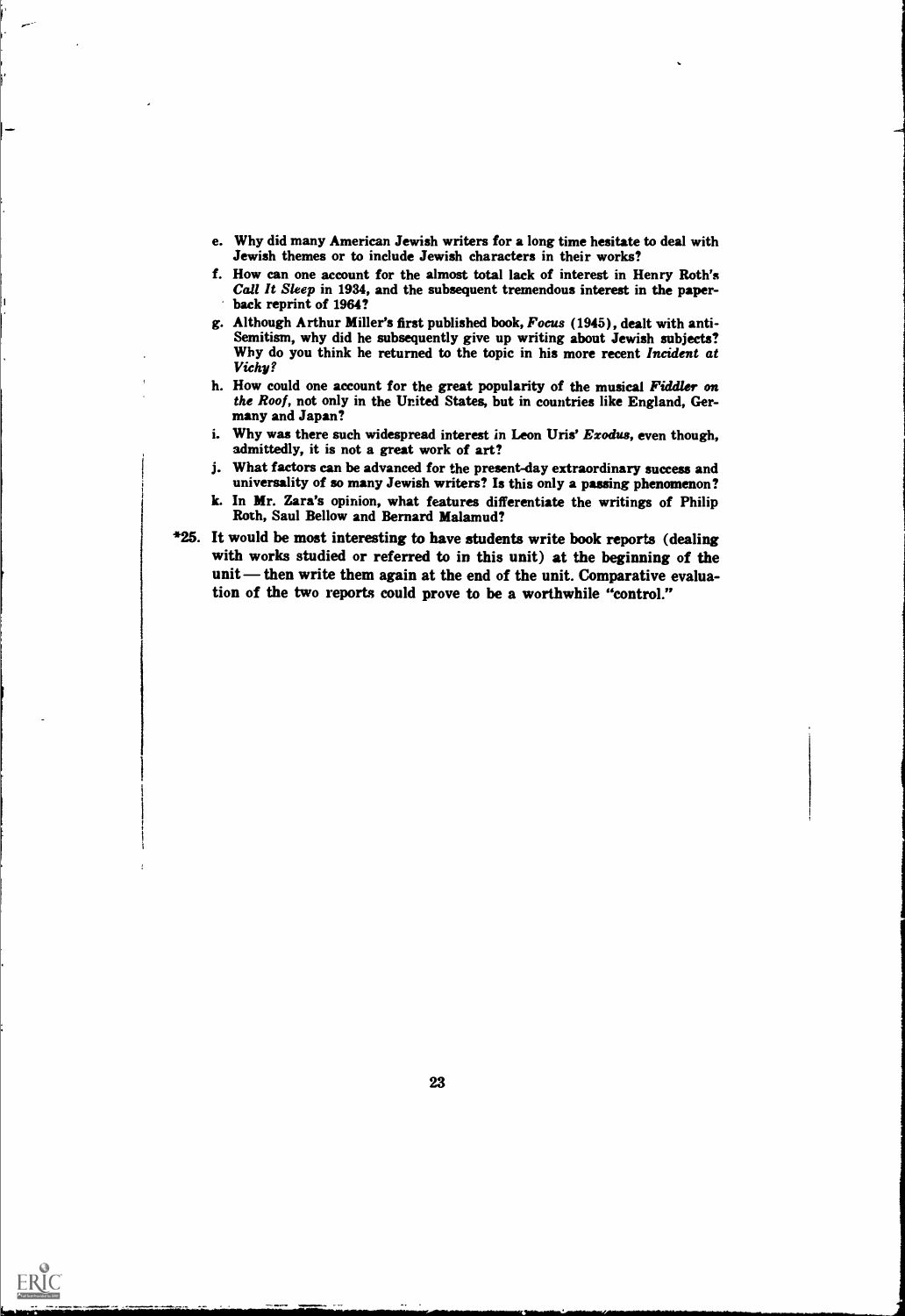- e. Why did many American Jewish writers for a long time hesitate to deal with Jewish themes or to include Jewish characters in their works?
- f. How can one account for the almost total lack of interest in Henry Roth's Call It Sleep in 1934, and the subsequent tremendous interest in the paperback reprint of 1964?

1

1

- g. Although Arthur Miller's first published book, Focus (1945), dealt with anti-Semitism, why did he subsequently give up writing about Jewish subjects?<br>Why do you think he returned to the topic in his more recent Incident at Vichy?
- h. How could one account for the great popularity of the musical Fiddler on the Roof, not only in the United States, but in countries like England, Germany and Japan?
- i. Why was there such widespread interest in Leon Uris' Exodus, even though, admittedly, it is not a great work of art?
- j. What factors can be advanced for the present-day extraordinary success and universality of so many Jewish writers? Is this only a passing phenomenon?
- k. In Mr. Zara's opinion, what features differentiate the writings of Philip Roth, Saul Bellow and Bernard Malamud?
- \*25. It would be most interesting to have students write book reports (dealing with works studied or referred to in this unit) at the beginning of the unit — then write them again at the end of the unit. Comparative evaluation of the two reports could prove to be a worthwhile "control."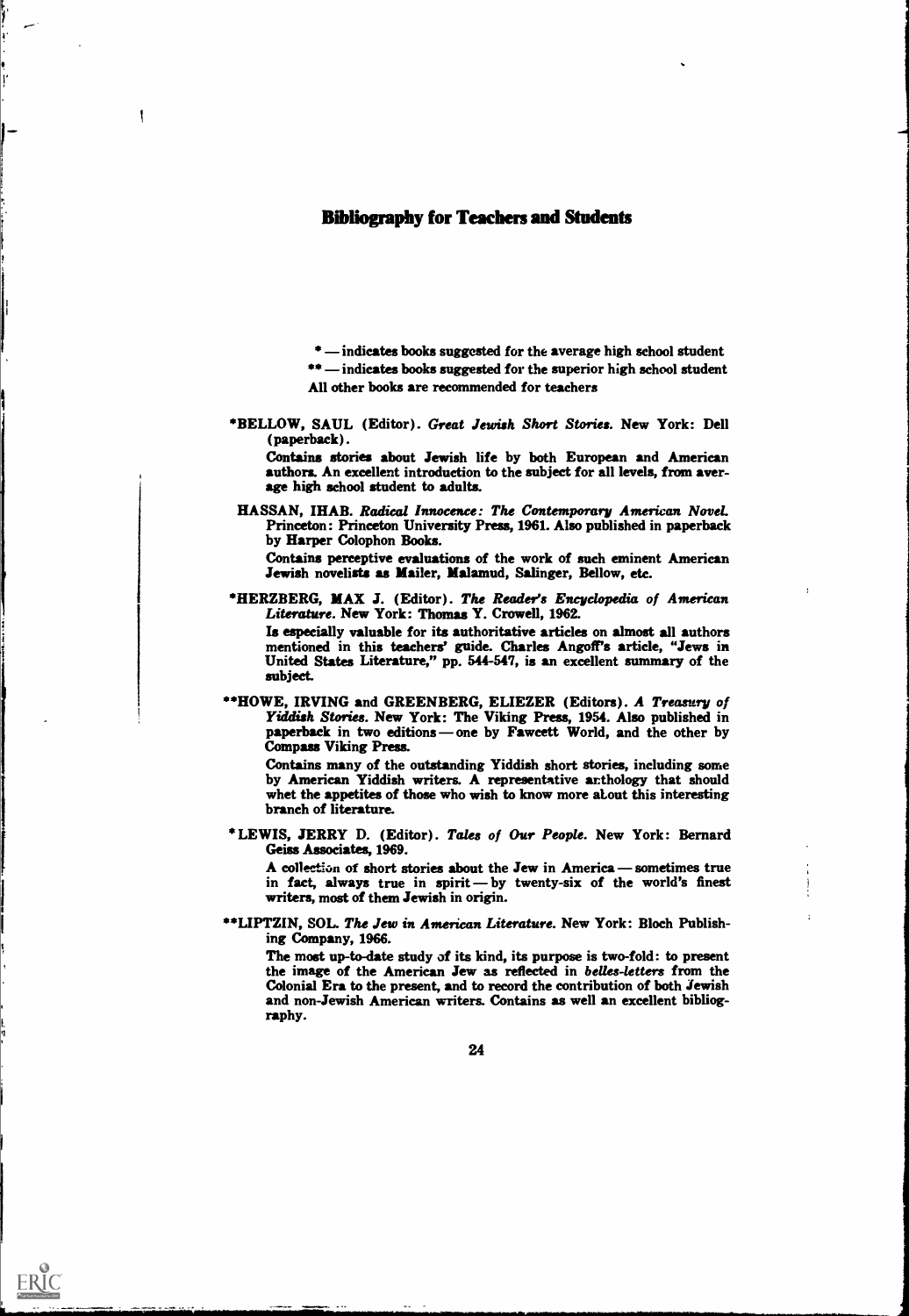## Bibliography for Teachers and Students

 $\mathbf{I}$ 

ERIC

 $*$  -indicates books suggested for the average high school student  $***$  indicates books suggested for the superior high school student All other books are recommended for teachers

\*BELLOW, SAUL (Editor). Great Jewish Short Stories. New York: Dell (paperback).

Contains stories about Jewish life by both European and American authors. An excellent introduction to the subject for all levels, from average high school student to adults.

HASSAN, IHAB. Radical Innocence: The Contemporary American Novel. Princeton : Princeton University Press, 1961. Also published in paperback by Harper Colophon Books.

Contains perceptive evaluations of the work of such eminent American Jewish novelists as Mailer, Malamud, Salinger, Bellow, etc.

\*HERZBERG, MAX J. (Editor). The Reader's Encyclopedia of American Literature. New York: Thomas Y. Crowell, 1962.

Is especially valuable for its authoritative articles on almost all authors mentioned in this teachers' guide. Charles Angoff's article, "Jews in United States Literature," pp. 544-547, is an excellent summary of the subject.

\*\*HOWE, IRVING and GREENBERG, ELIEZER (Editors). A Treasury of Yiddish Stories. New York: The Viking Press, 1954. Also published in paperback in two editions — one by Fawcett World, and the other by Compass Viking Press.

Contains many of the outstanding Yiddish short stories, including some by American Yiddish writers. A representative ar:thology that should whet the appetites of those who wish to know more stout this interesting branch of literature.

\*LEWIS, JERRY D. (Editor). Tales of Our People. New York: Bernard Geiss Associates, 1969.

A collection of short stories about the Jew in America  $-$  sometimes true in fact, always true in spirit-by twenty-six of the world's finest writers, most of them Jewish in origin.

\*\*LIPTZIN, SOL. The Jew in American Literature. New York: Bloch Publishing Company, 1966.

The most up-to-date study of its kind, its purpose is two-fold: to present the image of the American Jew as reflected in belles-letters from the Colonial Era to the present, and to record the contribution of both Jewish and non-Jewish American writers. Contains as well an excellent bibliography.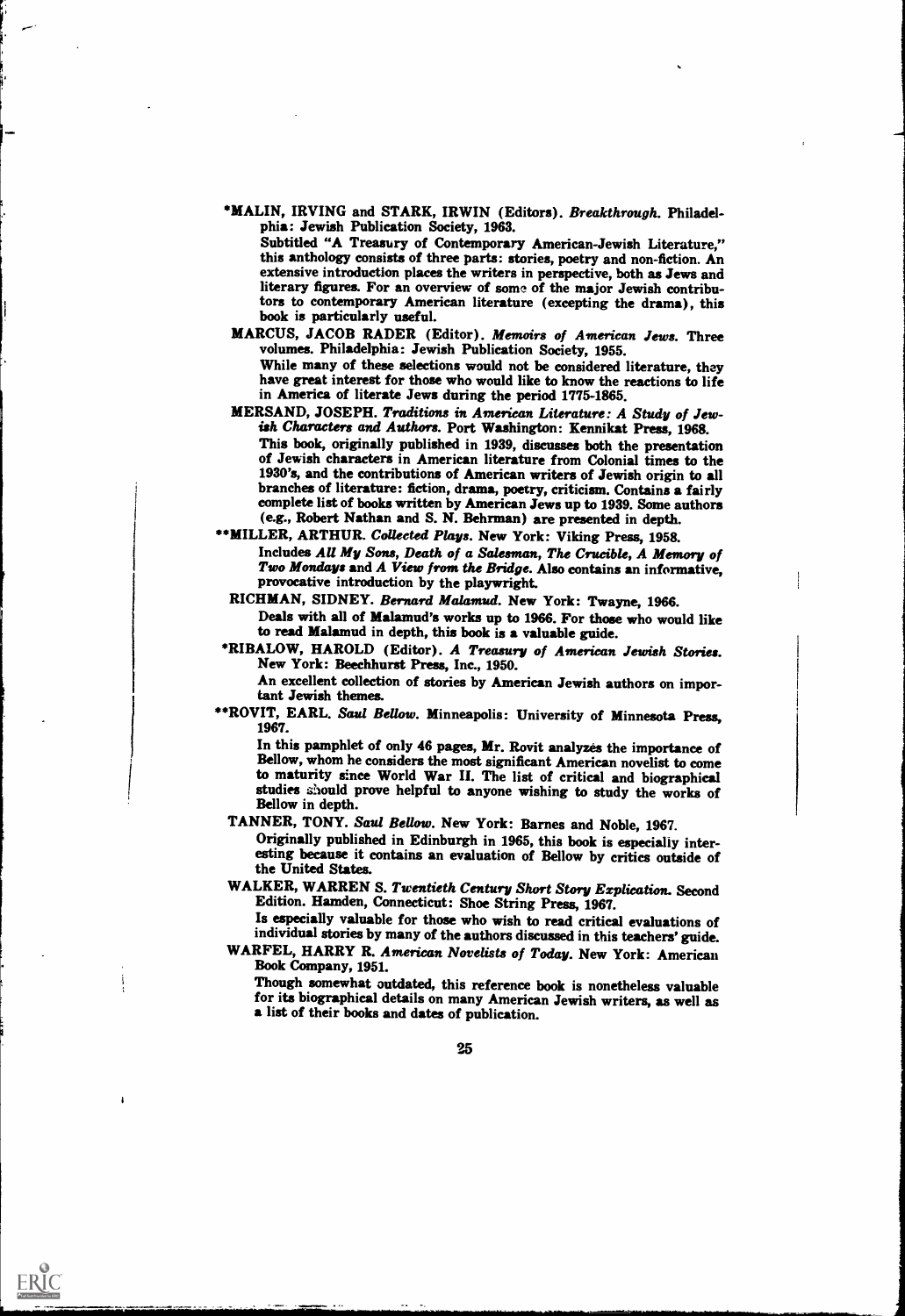\*MALIN, IRVING and STARK, IRWIN (Editors). Breakthrough. Philadelphia: Jewish Publication Society, 1963.

Subtitled "A Treasury of Contemporary American-Jewish Literature," this anthology consists of three parts: stories, poetry and non-fiction. An extensive introduction places the writers in perspective, both as Jews and literary figures. For an overview of some of the major Jewish contributors to contemporary American literature (excepting the drama), this book is particularly useful.

MARCUS, JACOB RADER (Editor). Memoirs of American Jews. Three volumes. Philadelphia: Jewish Publication Society, 1955. While many of these selections would not be considered literature, they have great interest for those who would like to know the reactions to life in America of literate Jews during the period 1775-1865.

- MERSAND, JOSEPH. Traditions in American Literature: A Study of Jewish Characters and Authors. Port Washington: Kennikat Press, 1968. This book, originally published in 1939, discusses both the presentation of Jewish characters in American literature from Colonial times to the 1930's, and the contributions of American writers of Jewish origin to all branches of literature: fiction, drama, poetry, criticism. Contains a fairly complete list of books written by American Jews up to 1939. Some authors (e.g., Robert Nathan and S. N. Behrman) are presented in depth.
- \*\* MILLER, ARTHUR. Collected Plays. New York: Viking Press, 1958. Includes AU My Sons, Death of a Salesman, The Crucible, A Memory of Two Mondays and A View from the Bridge. Also contains an informative, provocative introduction by the playwright.

RICHMAN, SIDNEY. Bernard Malamud. New York: Twayne, 1966.

Deals with all of Malamud's works up to 1966. For those who would like to read Malamud in depth, this book is a valuable guide.

\*RIBALOW, HAROLD (Editor). A Treasury of American Jewish Stories. New York: Beechhurst Press, Inc., 1950.

An excellent collection of stories by American Jewish authors on important Jewish themes.

\*\*ROVIT, EARL. Saul Bellow. Minneapolis: University of Minnesota Press, 1967.

In this pamphlet of only 46 pages, Mr. Rovit analyzes the importance of Bellow, whom he considers the most significant American novelist to come to maturity since World War II. The list of critical and biographical studies should prove helpful to anyone wishing to study the works of Bellow in depth.

TANNER, TONY. Saul Bellow. New York: Barnes and Noble, 1967.

Originally published in Edinburgh in 1965, this book is especially interesting because it contains an evaluation of Bellow by critics outside of the United States.

WALKER, WARREN S. Twentieth Century Short Story Explication. Second Edition. Hamden, Connecticut: Shoe String Press, 1967.

Is especially valuable for those who wish to read critical evaluations of individual stories by many of the authors discussed in this teachers' guide. WARFEL, HARRY R. American Novelists of Today. New York: American

Book Company, 1951. Though somewhat outdated, this reference book is nonetheless valuable for its biographical details on many American Jewish writers, as well as a list of their books and dates of publication.

25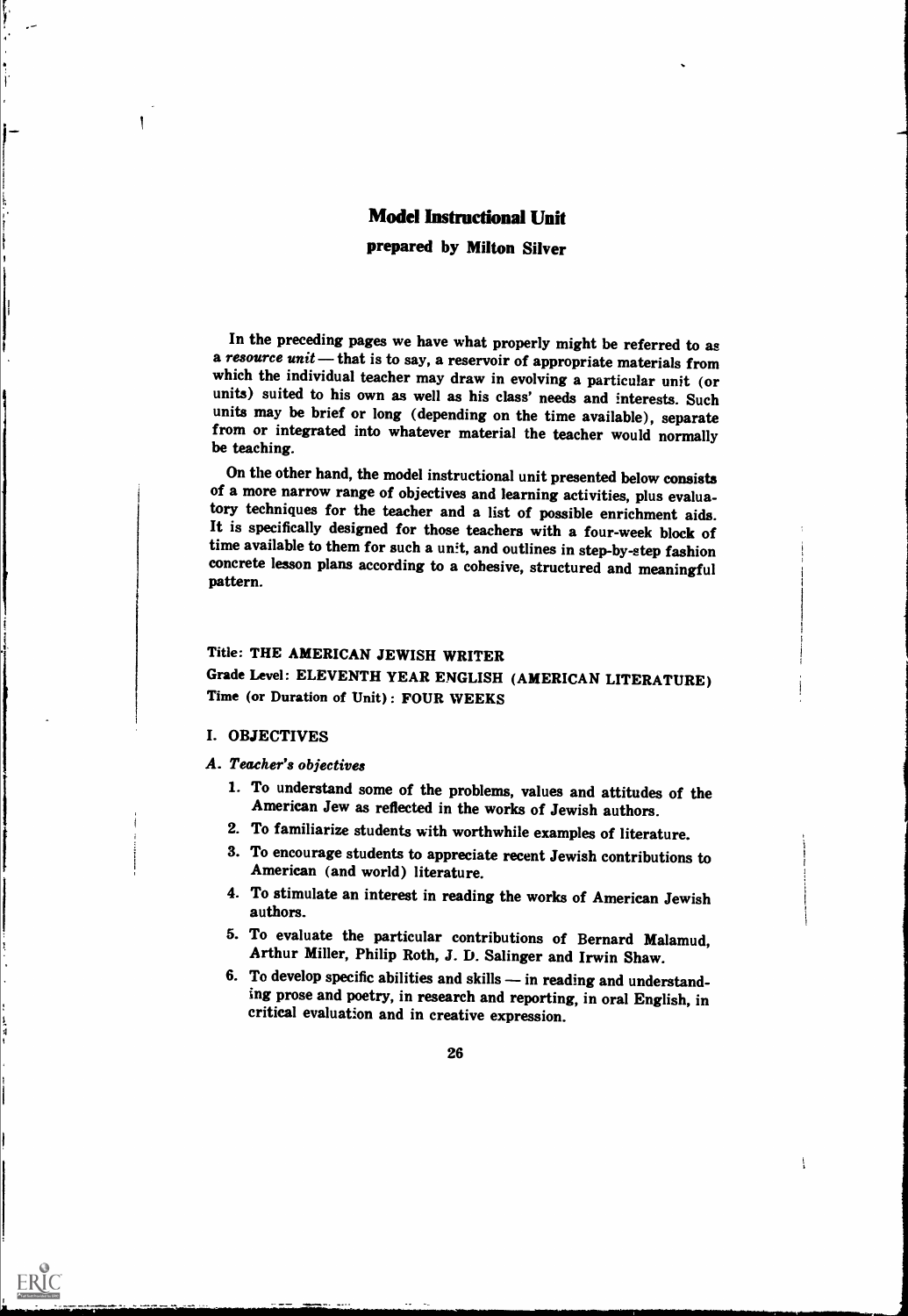## Model Instructional Unit

prepared by Milton Silver

In the preceding pages we have what properly might be referred to as a resource unit — that is to say, a reservoir of appropriate materials from which the individual teacher may draw in evolving a particular unit (or units) suited to his own as well as his class' needs and interests. Such units may be brief or long (depending on the time available), separate from or integrated into whatever material the teacher would normally be teaching.

On the other hand, the model instructional unit presented below consists of a more narrow range of objectives and learning activities, plus evalua-<br>tory techniques for the teacher and a list of possible enrichment aids. It is specifically designed for those teachers with a four-week block of time available to them for such a unit, and outlines in step-by-step fashion concrete lesson plans according to a cohesive, structured and meaningful pattern.

## Title: THE AMERICAN JEWISH WRITER Grade Level: ELEVENTH YEAR ENGLISH (AMERICAN LITERATURE) Time (or Duration of Unit): FOUR WEEKS

#### I. OBJECTIVES

1 i i 1

ERIC

A. Teacher's objectives

1. To understand some of the problems, values and attitudes of the American Jew as reflected in the works of Jewish authors.

i

1,

- 2. To familiarize students with worthwhile examples of literature.
- 3. To encourage students to appreciate recent Jewish contributions to American (and world) literature.
- 4. To stimulate an interest in reading the works of American Jewish authors.
- 5. To evaluate the particular contributions of Bernard Malamud, Arthur Miller, Philip Roth, J. D. Salinger and Irwin Shaw.
- 6. To develop specific abilities and skills  $-$  in reading and understanding prose and poetry, in research and reporting, in oral English, in critical evaluation and in creative expression.

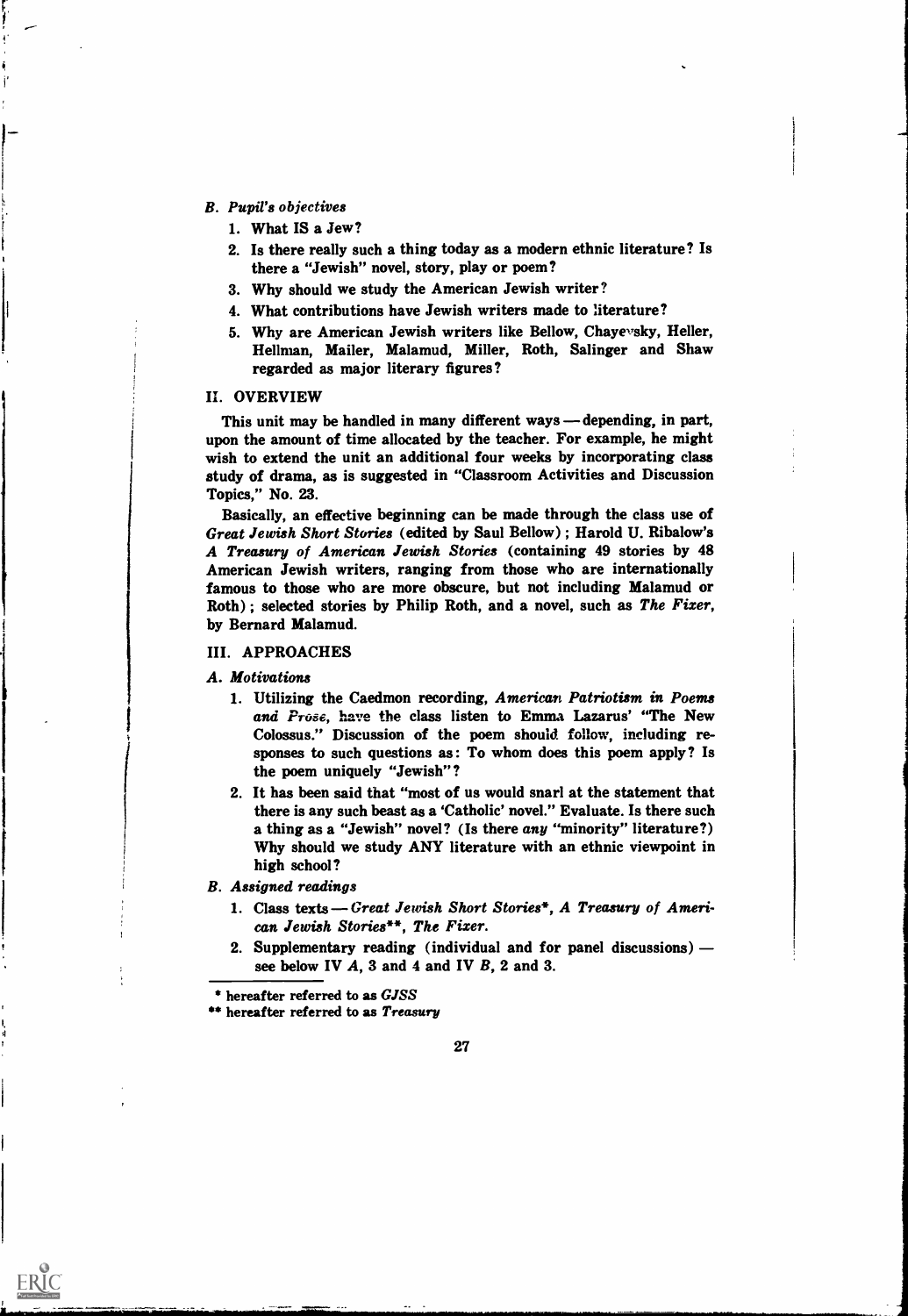#### B. Pupil's objectives

- 1. What IS a Jew?
- 2. Is there really such a thing today as a modern ethnic literature? Is there a "Jewish" novel, story, play or poem?
- 3. Why should we study the American Jewish writer?
- 4. What contributions have Jewish writers made to literature?
- 5. Why are American Jewish writers like Bellow, Chayevsky, Heller, Hellman, Mailer, Malamud, Miller, Roth, Salinger and Shaw regarded as major literary figures?

#### IL OVERVIEW

This unit may be handled in many different ways — depending, in part, upon the amount of time allocated by the teacher. For example, he might wish to extend the unit an additional four weeks by incorporating class study of drama, as is suggested in "Classroom Activities and Discussion Topics," No. 23.

Basically, an effective beginning can be made through the class use of Great Jewish Short Stories (edited by Saul Bellow) ; Harold U. Ribalow's A Treasury of American Jewish Stories (containing 49 stories by 48 American Jewish writers, ranging from those who are internationally famous to those who are more obscure, but not including Malamud or Roth) ; selected stories by Philip Roth, and a novel, such as The Fixer, by Bernard Malamud.

#### III. APPROACHES

A. Motivations

- 1. Utilizing the Caedmon recording, American Patriotism in Poems and Prose, have the class listen to Emma Lazarus' "The New Colossus." Discussion of the poem should follow, including responses to such questions as: To whom does this poem apply? Is the poem uniquely "Jewish"?
- 2. It has been said that "most of us would snarl at the statement that there is any such beast as a 'Catholic' novel." Evaluate. Is there such a thing as a "Jewish" novel? (Is there any "minority" literature?) Why should we study ANY literature with an ethnic viewpoint in high school?
- B. Assigned readings

- 1. Class texts Great Jewish Short Stories\*, A Treasury of American Jewish Stories\*\*, The Fixer.
- 2. Supplementary reading (individual and for panel discussions) see below IV  $A$ , 3 and 4 and IV  $B$ , 2 and 3.

<sup>\*\*</sup> hereafter referred to as Treasury



<sup>\*</sup> hereafter referred to as GJSS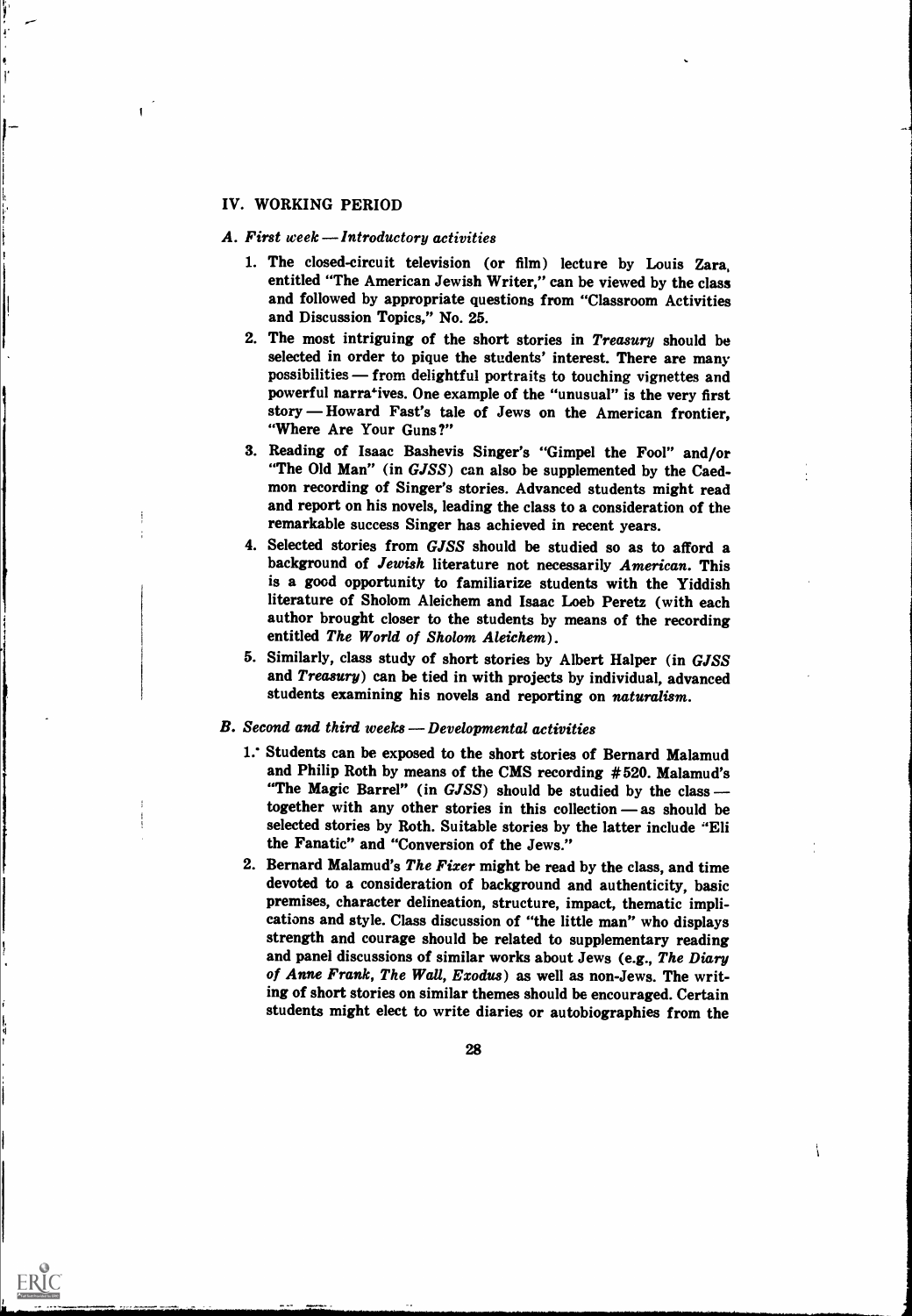## IV. WORKING PERIOD

#### A. First week — Introductory activities

- 1. The closed-circuit television (or film) lecture by Louis Zara, entitled "The American Jewish Writer," can be viewed by the class and followed by appropriate questions from "Classroom Activities and Discussion Topics," No. 25.
- 2. The most intriguing of the short stories in Treasury should be selected in order to pique the students' interest. There are many possibilities - from delightful portraits to touching vignettes and powerful narratives. One example of the "unusual" is the very first story - Howard Fast's tale of Jews on the American frontier, "Where Are Your Guns?"
- 3. Reading of Isaac Bashevis Singer's "Gimpel the Fool" and/or "The Old Man" (in GJSS) can also be supplemented by the Caedmon recording of Singer's stories. Advanced students might read and report on his novels, leading the class to a consideration of the remarkable success Singer has achieved in recent years.
- 4. Selected stories from GJSS should be studied so as to afford a background of Jewish literature not necessarily American. This is a good opportunity to familiarize students with the Yiddish literature of Sholom Aleichem and Isaac Loeb Peretz (with each author brought closer to the students by means of the recording entitled The World of Sholom Aleichem).
- 5. Similarly, class study of short stories by Albert Halper (in GJSS and Treasury) can be tied in with projects by individual, advanced students examining his novels and reporting on naturalism.

## B. Second and third weeks - Developmental activities

- 1.\* Students can be exposed to the short stories of Bernard Malamud and Philip Roth by means of the CMS recording #520. Malamud's "The Magic Barrel" (in GJSS) should be studied by the class together with any other stories in this collection  $-$  as should be selected stories by Roth. Suitable stories by the latter include "Eli the Fanatic" and "Conversion of the Jews."
- 2. Bernard Malamud's The Fixer might be read by the class, and time devoted to a consideration of background and authenticity, basic premises, character delineation, structure, impact, thematic implications and style. Class discussion of "the little man" who displays strength and courage should be related to supplementary reading and panel discussions of similar works about Jews (e.g., The Diary of Anne Frank, The Wall, Exodus) as well as non-Jews. The writing of short stories on similar themes should be encouraged. Certain students might elect to write diaries or autobiographies from the



1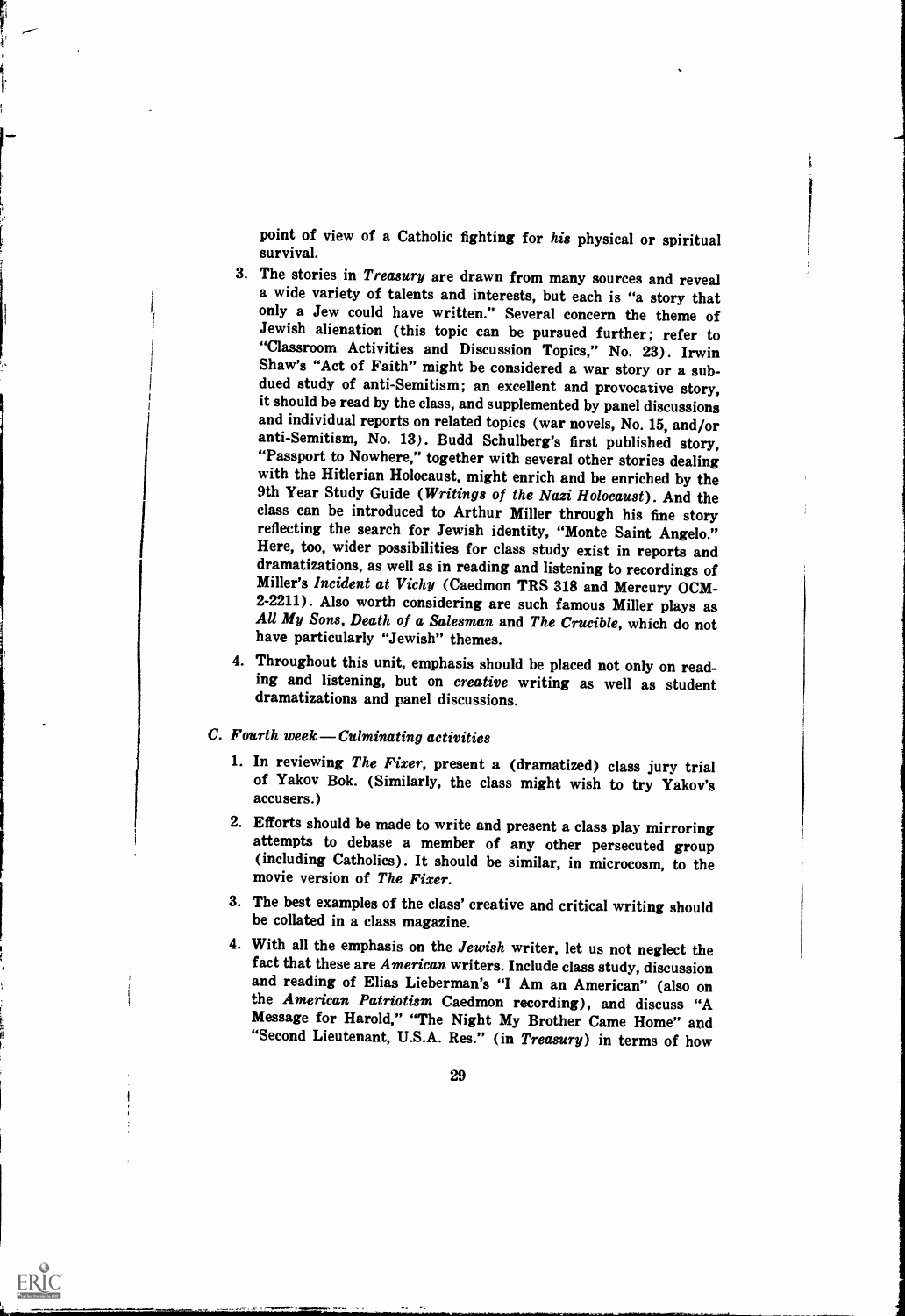point of view of a Catholic fighting for his physical or spiritual survival.

- 3. The stories in *Treasury* are drawn from many sources and reveal a wide variety of talents and interests, but each is "a story that only a Jew could have written." Several concern the theme of Jewish alienation (this topic can be pursued further; refer to "Classroom Activities and Discussion Topics," No. 23). Irwin<br>Shaw's "Act of Faith" might be considered a war story or a subdued study of anti-Semitism; an excellent and provocative story, it should be read by the class, and supplemented by panel discussions<br>and individual reports on related topics (war novels, No. 15, and/or anti-Semitism, No. 13). Budd Schulberg's first published story, "Passport to Nowhere," together with several other stories dealing with the Hitlerian Holocaust, might enrich and be enriched by the 9th Year Study Guide (*Wr* Here, too, wider possibilities for class study exist in reports and dramatizations, as well as in reading and listening to recordings of Miller's *Incident at Vichy* (Caedmon TRS 318 and Mercury OCM-<br>2-2211). Also worth considering are such famous Miller plays as<br>All My Sons, Death of a Salesman and The Crucible, which do not have particularly "Jewish" themes.
- 4. Throughout this unit, emphasis should be placed not only on reading and listening, but on creative writing as well as student dramatizations and panel discussions.

## $C.$  Fourth week — Culminating activities

I a shekara

I a ser

- 1. In reviewing The Fixer, present a (dramatized) class jury trial of Yakov Bok. (Similarly, the class might wish to try Yakov's accusers.)
- 2. Efforts should be made to write and present a class play mirroring attempts to debase a member of any other persecuted group (including Catholics). It should be similar, in microcosm, to the movie version of The Fixer.
- 3. The best examples of the class' creative and critical writing should be collated in a class magazine.
- 4. With all the emphasis on the Jewish writer, let us not neglect the fact that these are American writers. Include class study, discussion and reading of Elias Lieberman's "I Am an American" (also on the American Patriotism Caedmon recording), and discuss "A Message for Harold," "The Night My Brother Came Home" and "Second Lieutenant, U.S.A. Res." (in Treasury) in terms of how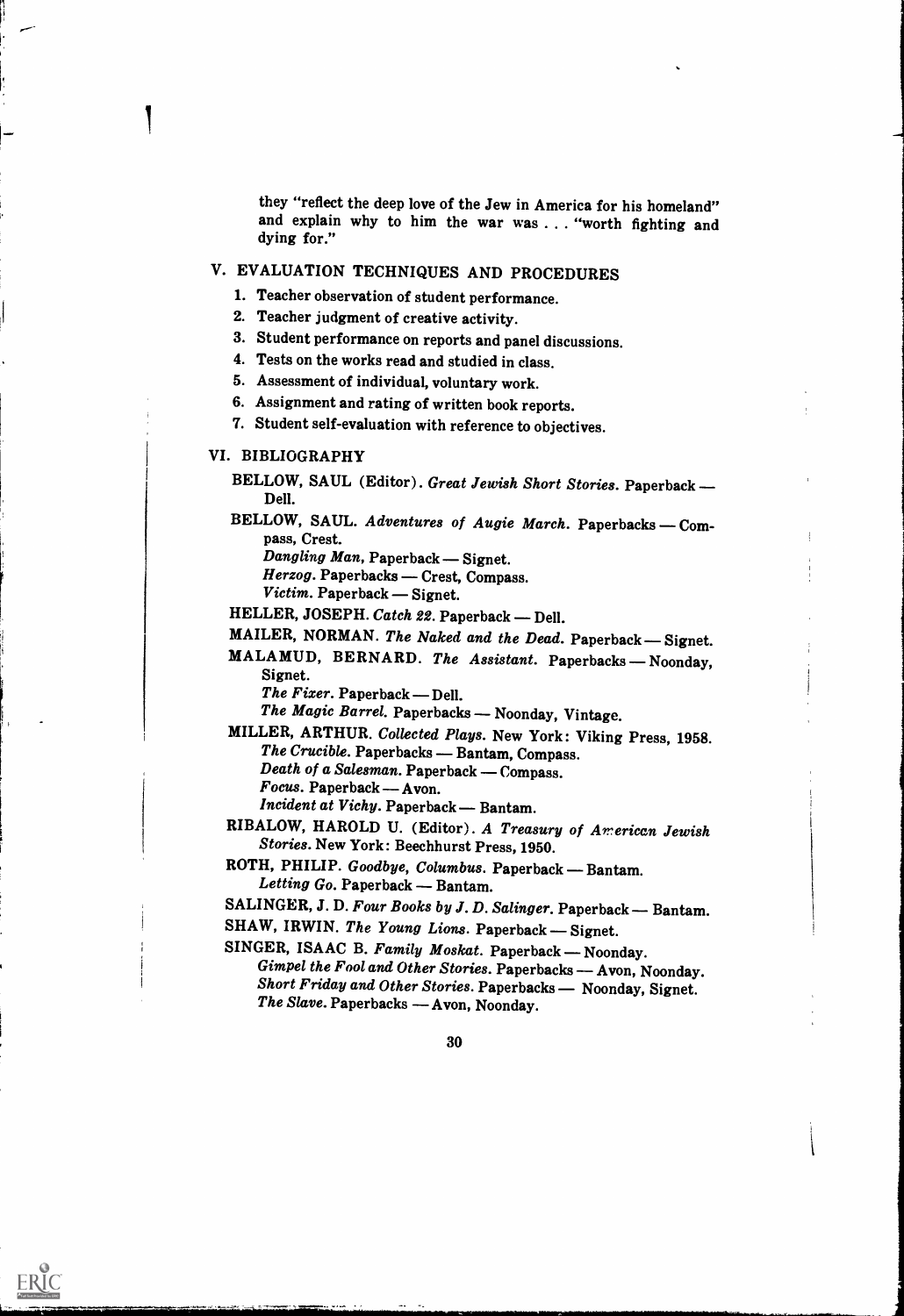they "reflect the deep love of the Jew in America for his homeland" and explain why to him the war was . . . "worth fighting and dying for."

## V. EVALUATION TECHNIQUES AND PROCEDURES

- 1. Teacher observation of student performance.
- 2. Teacher judgment of creative activity.
- 3. Student performance on reports and panel discussions.
- 4. Tests on the works read and studied in class.
- 5. Assessment of individual, voluntary work.
- 6. Assignment and rating of written book reports.
- 7. Student self-evaluation with reference to objectives.

## VI. BIBLIOGRAPHY

- BELLOW, SAUL (Editor). Great Jewish Short Stories. Paperback -Dell.
- BELLOW, SAUL. Adventures of Augie March. Paperbacks Compass, Crest.

Dangling Man, Paperback - Signet.

Herzog. Paperbacks - Crest, Compass.

 $Victim.$  Paperback  $-$  Signet.

HELLER, JOSEPH. Catch 22. Paperback - Dell.

## MAILER, NORMAN. The Naked and the Dead. Paperback - Signet.

- MALAMUD, BERNARD. The Assistant. Paperbacks Noonday, Signet.
	- The Fixer. Paperback Dell.

The Magic Barrel. Paperbacks - Noonday, Vintage.

MILLER, ARTHUR. Collected Plays. New York: Viking Press, 1958.<br>The Crucible. Paperbacks — Bantam, Compass. Death of a Salesman. Paperback — Compass.<br>Focus. Paperback — Avon.

ERIC

Incident at Vichy. Paperback - Bantam.

RIBALOW, HAROLD U. (Editor). A Treasury of American Jewish Stories. New York: Beechhurst Press, 1950.

ROTH, PHILIP. Goodbye, Columbus. Paperback - Bantam. Letting Go. Paperback — Bantam.

- SALINGER, J. D. Four Books by J. D. Salinger. Paperback Bantam.
- 

SHAW, IRWIN. The Young Lions. Paperback - Signet.<br>SINGER, ISAAC B. Family Moskat. Paperback - Noonday. Gimpel the Fool and Other Stories. Paperbacks — Avon, Noonday.<br>Short Friday and Other Stories. Paperbacks — Noonday, Signet.<br>The Slave. Paperbacks — Avon, Noonday.